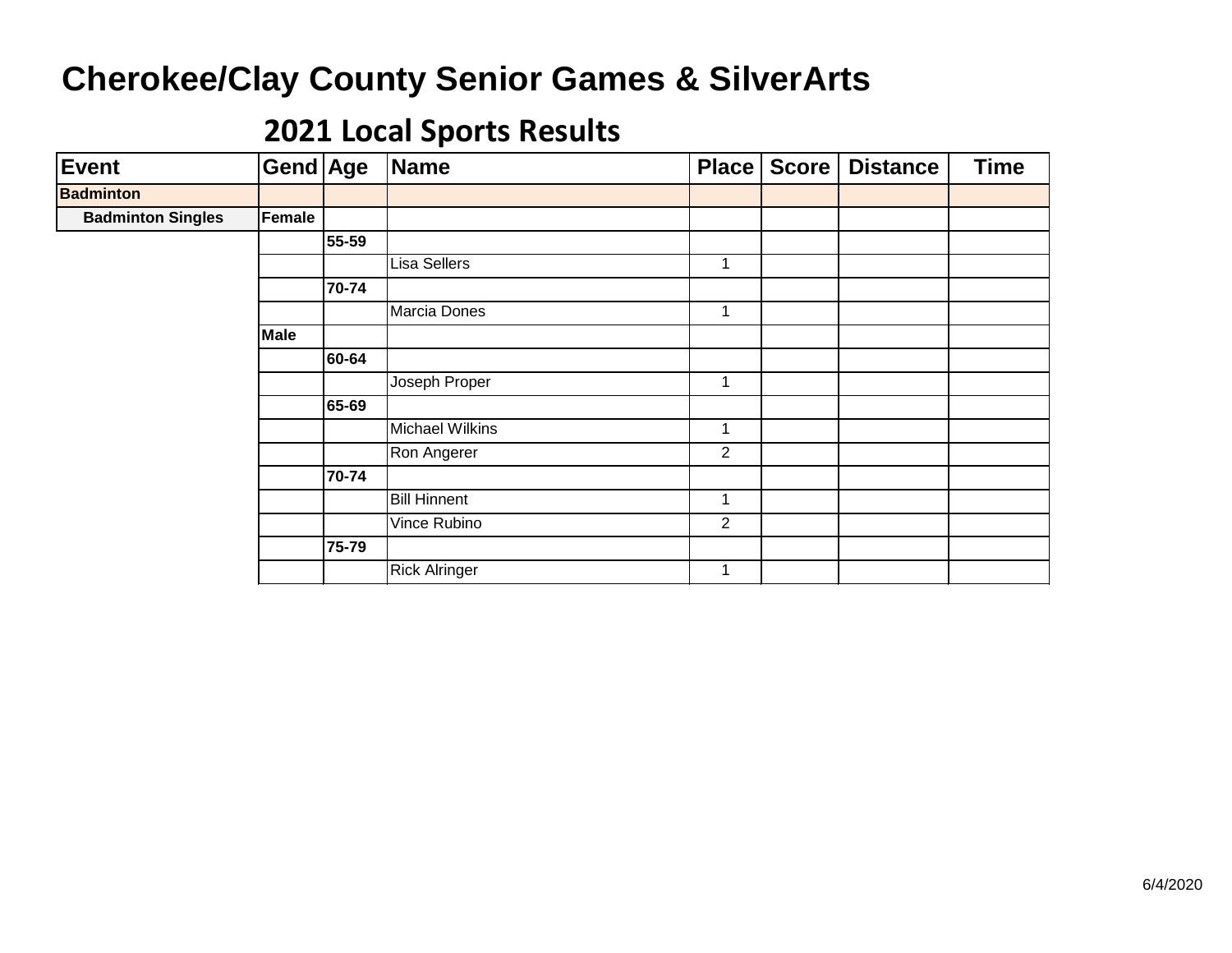| <b>Event</b>             | Gend Age    |       | Name                   | Place          | Score | <b>Distance</b> | <b>Time</b> |
|--------------------------|-------------|-------|------------------------|----------------|-------|-----------------|-------------|
| <b>Badminton</b>         |             |       |                        |                |       |                 |             |
| <b>Badminton Singles</b> | Female      |       |                        |                |       |                 |             |
|                          |             | 55-59 |                        |                |       |                 |             |
|                          |             |       | Lisa Sellers           | 1              |       |                 |             |
|                          |             | 70-74 |                        |                |       |                 |             |
|                          |             |       | Marcia Dones           | 1              |       |                 |             |
|                          | <b>Male</b> |       |                        |                |       |                 |             |
|                          |             | 60-64 |                        |                |       |                 |             |
|                          |             |       | Joseph Proper          | 1              |       |                 |             |
|                          |             | 65-69 |                        |                |       |                 |             |
|                          |             |       | <b>Michael Wilkins</b> | 1              |       |                 |             |
|                          |             |       | Ron Angerer            | $\overline{2}$ |       |                 |             |
|                          |             | 70-74 |                        |                |       |                 |             |
|                          |             |       | <b>Bill Hinnent</b>    | 1              |       |                 |             |
|                          |             |       | Vince Rubino           | $\overline{2}$ |       |                 |             |
|                          |             | 75-79 |                        |                |       |                 |             |
|                          |             |       | <b>Rick Alringer</b>   | 1              |       |                 |             |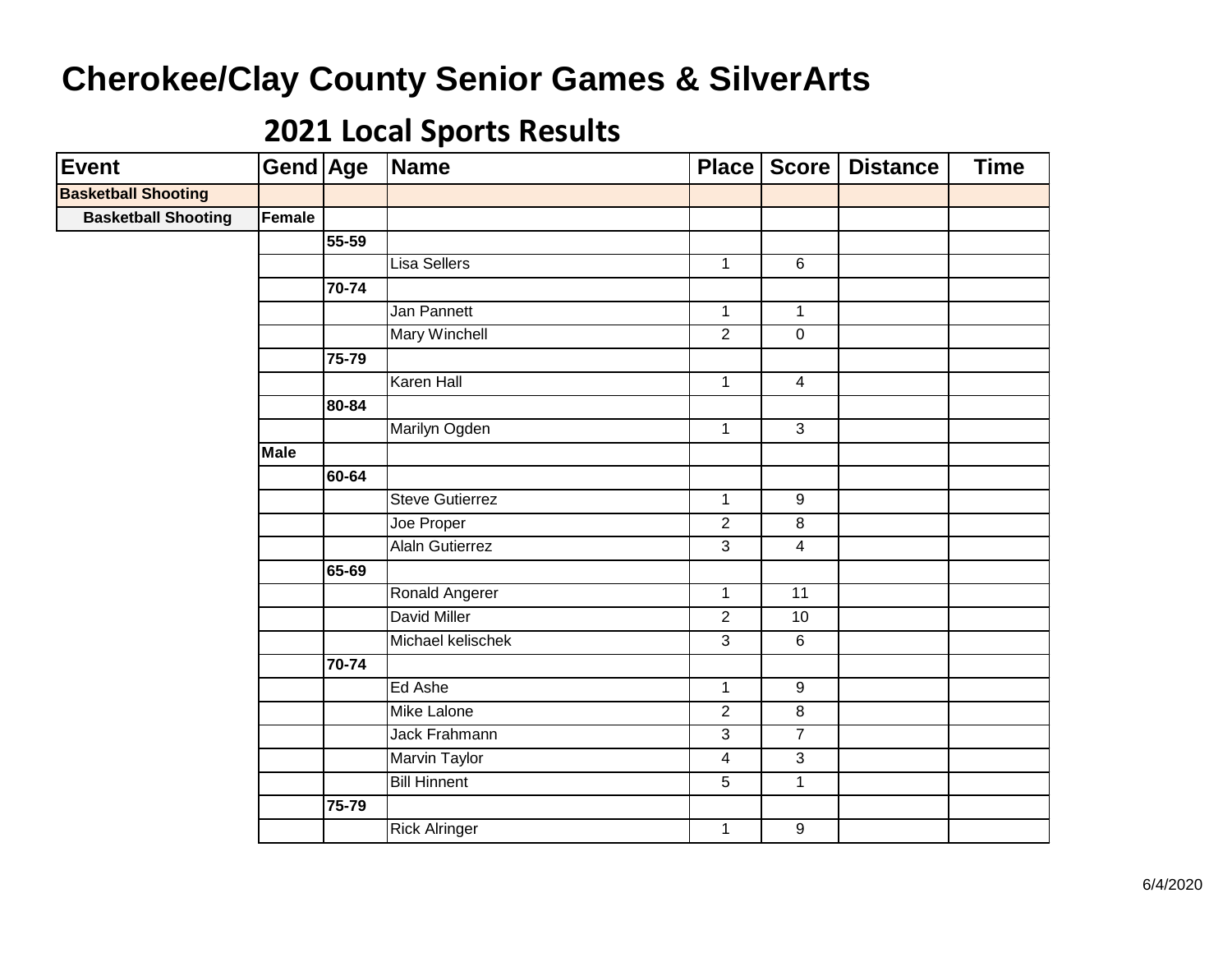| <b>Event</b>               | Gend Age    |           | <b>Name</b>            | Place          | Score                   | <b>Distance</b> | <b>Time</b> |
|----------------------------|-------------|-----------|------------------------|----------------|-------------------------|-----------------|-------------|
| <b>Basketball Shooting</b> |             |           |                        |                |                         |                 |             |
| <b>Basketball Shooting</b> | Female      |           |                        |                |                         |                 |             |
|                            |             | 55-59     |                        |                |                         |                 |             |
|                            |             |           | Lisa Sellers           | $\mathbf{1}$   | $\,6$                   |                 |             |
|                            |             | $70 - 74$ |                        |                |                         |                 |             |
|                            |             |           | Jan Pannett            | $\mathbf{1}$   | $\mathbf 1$             |                 |             |
|                            |             |           | Mary Winchell          | $\overline{2}$ | $\mathbf 0$             |                 |             |
|                            |             | $75 - 79$ |                        |                |                         |                 |             |
|                            |             |           | <b>Karen Hall</b>      | $\overline{1}$ | $\overline{4}$          |                 |             |
|                            |             | 80-84     |                        |                |                         |                 |             |
|                            |             |           | Marilyn Ogden          | $\overline{1}$ | $\overline{3}$          |                 |             |
|                            | <b>Male</b> |           |                        |                |                         |                 |             |
|                            |             | 60-64     |                        |                |                         |                 |             |
|                            |             |           | <b>Steve Gutierrez</b> | $\mathbf{1}$   | $\overline{9}$          |                 |             |
|                            |             |           | Joe Proper             | $\overline{2}$ | 8                       |                 |             |
|                            |             |           | <b>Alaln Gutierrez</b> | $\overline{3}$ | $\overline{4}$          |                 |             |
|                            |             | 65-69     |                        |                |                         |                 |             |
|                            |             |           | Ronald Angerer         | $\overline{1}$ | $\overline{11}$         |                 |             |
|                            |             |           | David Miller           | $\overline{2}$ | $10$                    |                 |             |
|                            |             |           | Michael kelischek      | $\overline{3}$ | $\overline{6}$          |                 |             |
|                            |             | 70-74     |                        |                |                         |                 |             |
|                            |             |           | Ed Ashe                | $\mathbf{1}$   | $\overline{9}$          |                 |             |
|                            |             |           | <b>Mike Lalone</b>     | $\overline{2}$ | $\overline{\mathbf{8}}$ |                 |             |
|                            |             |           | Jack Frahmann          | $\overline{3}$ | $\overline{7}$          |                 |             |
|                            |             |           | <b>Marvin Taylor</b>   | $\overline{4}$ | 3                       |                 |             |
|                            |             |           | <b>Bill Hinnent</b>    | 5              | 1                       |                 |             |
|                            |             | 75-79     |                        |                |                         |                 |             |
|                            |             |           | <b>Rick Alringer</b>   | $\mathbf{1}$   | $\boldsymbol{9}$        |                 |             |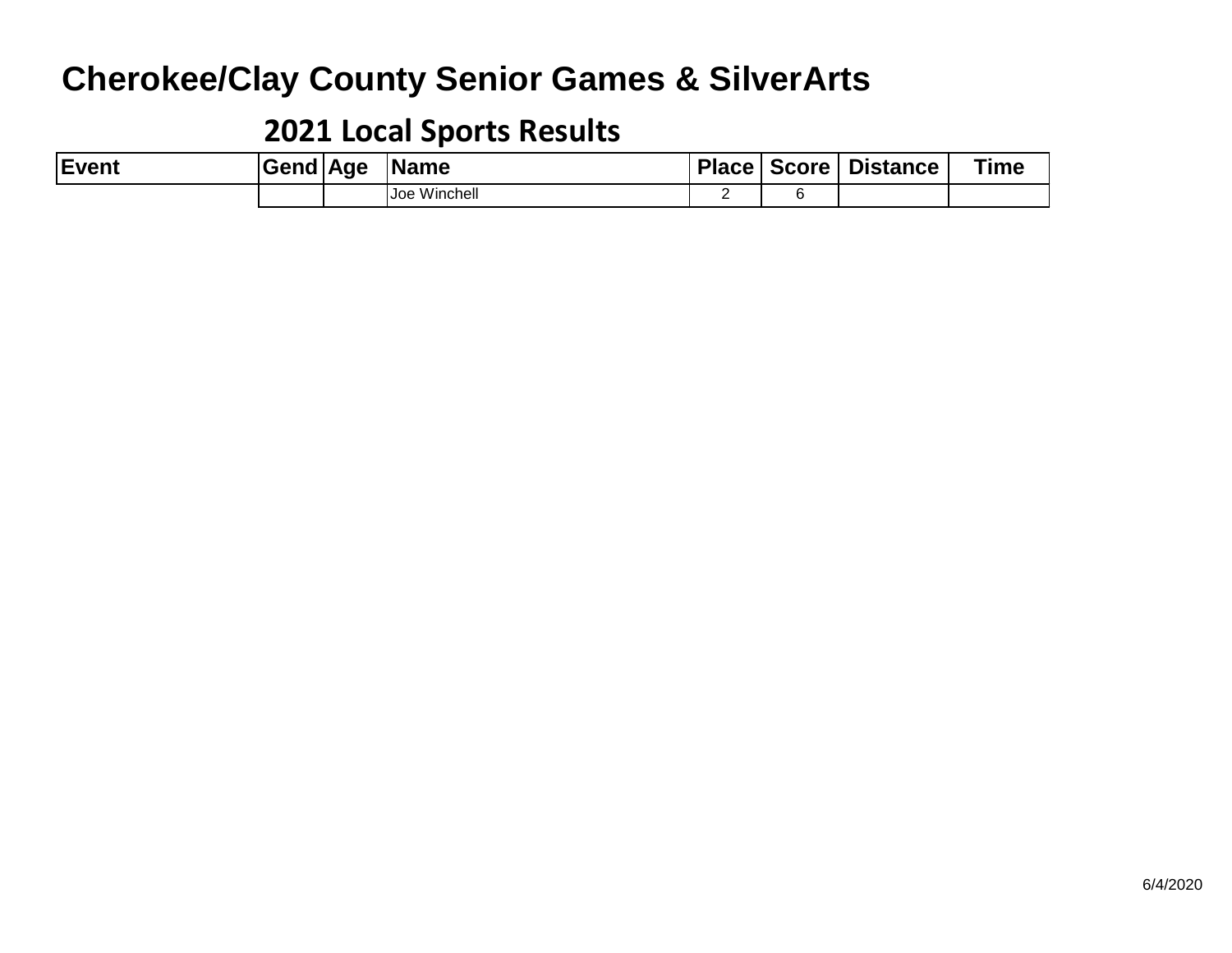| Event | Gend   Age | <b>Name</b>  |  | Place   Score   Distance | <b>Time</b> |
|-------|------------|--------------|--|--------------------------|-------------|
|       |            | Joe Winchell |  |                          |             |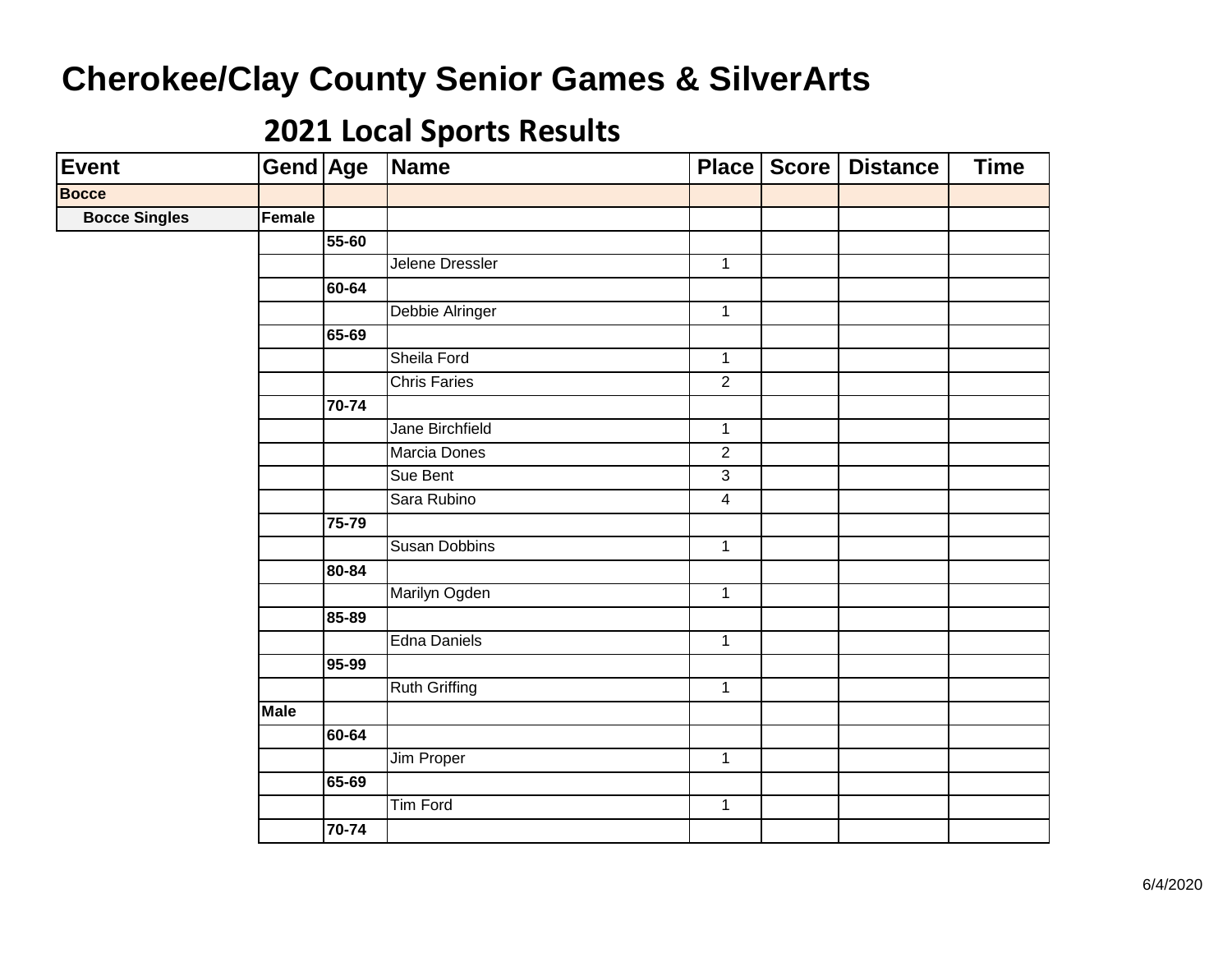| Event                | Gend Age    |       | Name                 | Place          | Score   Distance | <b>Time</b> |
|----------------------|-------------|-------|----------------------|----------------|------------------|-------------|
| <b>Bocce</b>         |             |       |                      |                |                  |             |
| <b>Bocce Singles</b> | Female      |       |                      |                |                  |             |
|                      |             | 55-60 |                      |                |                  |             |
|                      |             |       | Jelene Dressler      | $\mathbf{1}$   |                  |             |
|                      |             | 60-64 |                      |                |                  |             |
|                      |             |       | Debbie Alringer      | $\overline{1}$ |                  |             |
|                      |             | 65-69 |                      |                |                  |             |
|                      |             |       | Sheila Ford          | $\mathbf{1}$   |                  |             |
|                      |             |       | <b>Chris Faries</b>  | $\overline{2}$ |                  |             |
|                      |             | 70-74 |                      |                |                  |             |
|                      |             |       | Jane Birchfield      | $\mathbf{1}$   |                  |             |
|                      |             |       | <b>Marcia Dones</b>  | $\overline{2}$ |                  |             |
|                      |             |       | Sue Bent             | $\overline{3}$ |                  |             |
|                      |             |       | Sara Rubino          | $\overline{4}$ |                  |             |
|                      |             | 75-79 |                      |                |                  |             |
|                      |             |       | <b>Susan Dobbins</b> | $\overline{1}$ |                  |             |
|                      |             | 80-84 |                      |                |                  |             |
|                      |             |       | Marilyn Ogden        | $\overline{1}$ |                  |             |
|                      |             | 85-89 |                      |                |                  |             |
|                      |             |       | Edna Daniels         | $\mathbf{1}$   |                  |             |
|                      |             | 95-99 |                      |                |                  |             |
|                      |             |       | <b>Ruth Griffing</b> | $\mathbf{1}$   |                  |             |
|                      | <b>Male</b> |       |                      |                |                  |             |
|                      |             | 60-64 |                      |                |                  |             |
|                      |             |       | Jim Proper           | $\overline{1}$ |                  |             |
|                      |             | 65-69 |                      |                |                  |             |
|                      |             |       | <b>Tim Ford</b>      | $\overline{1}$ |                  |             |
|                      |             | 70-74 |                      |                |                  |             |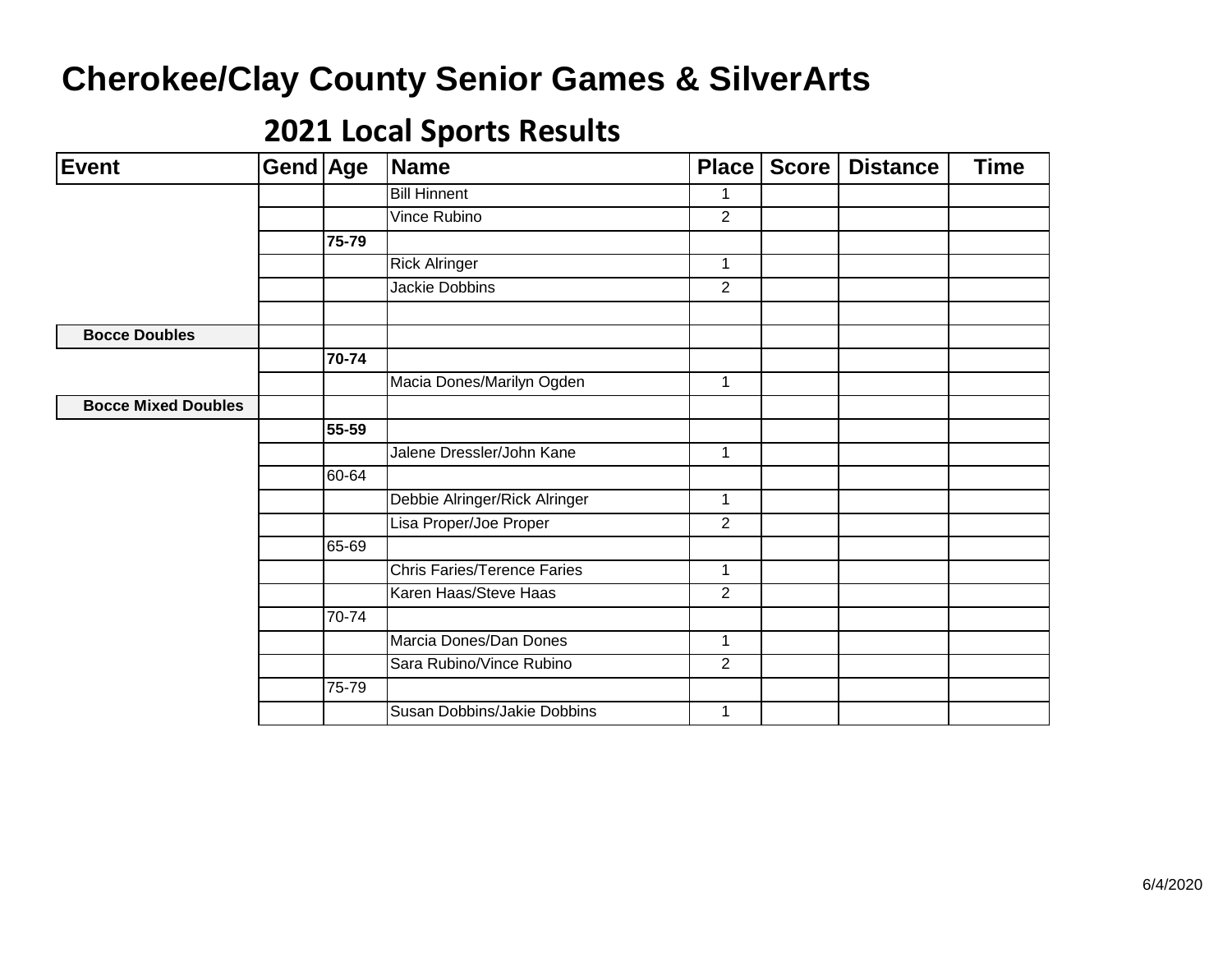| Event                      | Gend Age |       | Name                               | <b>Place</b>   | Score | <b>Distance</b> | <b>Time</b> |
|----------------------------|----------|-------|------------------------------------|----------------|-------|-----------------|-------------|
|                            |          |       | <b>Bill Hinnent</b>                | $\mathbf 1$    |       |                 |             |
|                            |          |       | Vince Rubino                       | $\overline{2}$ |       |                 |             |
|                            |          | 75-79 |                                    |                |       |                 |             |
|                            |          |       | <b>Rick Alringer</b>               | $\mathbf{1}$   |       |                 |             |
|                            |          |       | <b>Jackie Dobbins</b>              | $\overline{2}$ |       |                 |             |
|                            |          |       |                                    |                |       |                 |             |
| <b>Bocce Doubles</b>       |          |       |                                    |                |       |                 |             |
|                            |          | 70-74 |                                    |                |       |                 |             |
|                            |          |       | Macia Dones/Marilyn Ogden          | $\mathbf{1}$   |       |                 |             |
| <b>Bocce Mixed Doubles</b> |          |       |                                    |                |       |                 |             |
|                            |          | 55-59 |                                    |                |       |                 |             |
|                            |          |       | Jalene Dressler/John Kane          | $\mathbf{1}$   |       |                 |             |
|                            |          | 60-64 |                                    |                |       |                 |             |
|                            |          |       | Debbie Alringer/Rick Alringer      | 1              |       |                 |             |
|                            |          |       | Lisa Proper/Joe Proper             | $\overline{2}$ |       |                 |             |
|                            |          | 65-69 |                                    |                |       |                 |             |
|                            |          |       | <b>Chris Faries/Terence Faries</b> | $\mathbf{1}$   |       |                 |             |
|                            |          |       | Karen Haas/Steve Haas              | $\overline{2}$ |       |                 |             |
|                            |          | 70-74 |                                    |                |       |                 |             |
|                            |          |       | Marcia Dones/Dan Dones             | $\mathbf{1}$   |       |                 |             |
|                            |          |       | Sara Rubino/Vince Rubino           | $\overline{2}$ |       |                 |             |
|                            |          | 75-79 |                                    |                |       |                 |             |
|                            |          |       | Susan Dobbins/Jakie Dobbins        | $\mathbf{1}$   |       |                 |             |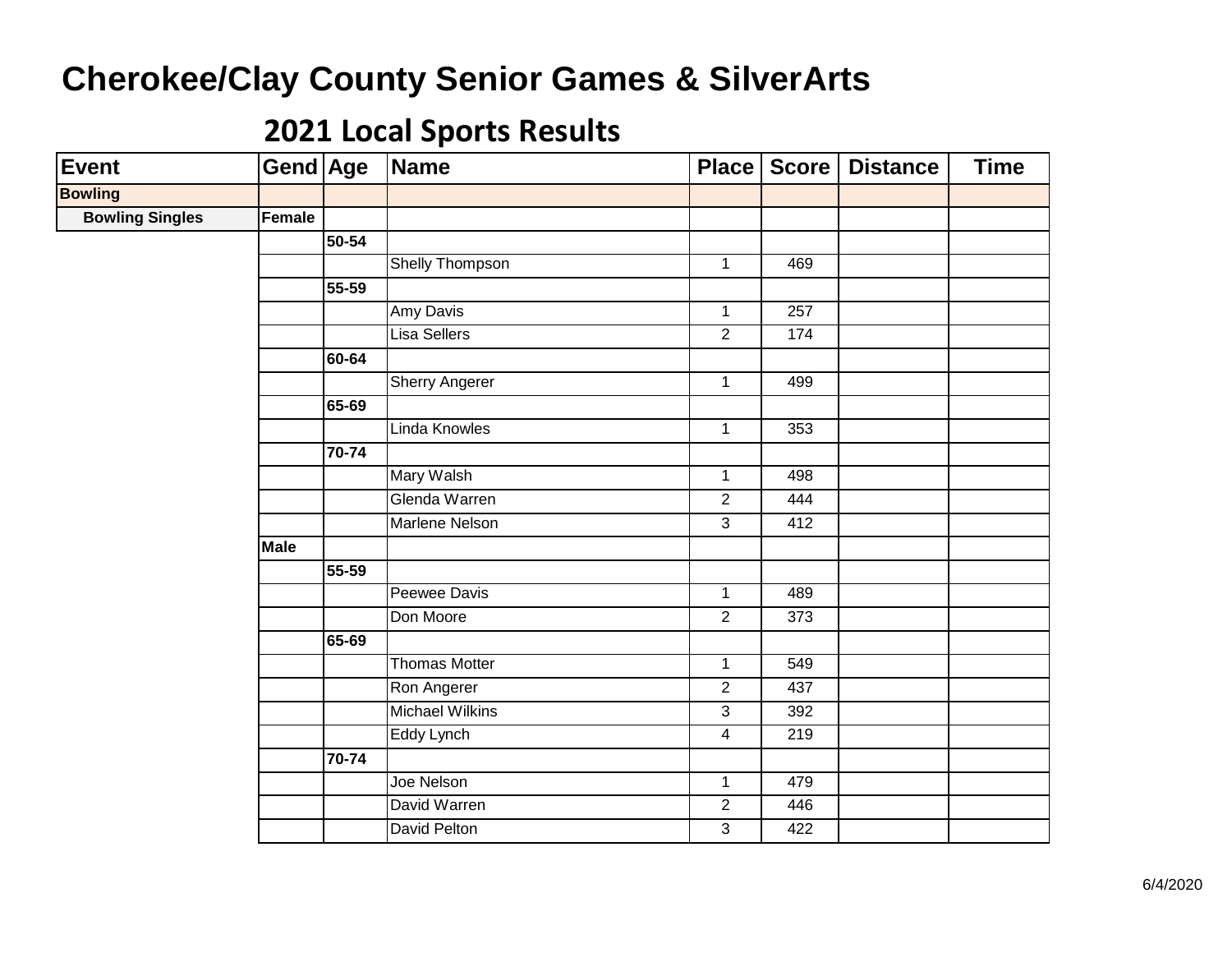| <b>Event</b>           | Gend Age    |           | Name                   | Place          | <b>Score</b>    | <b>Distance</b> | <b>Time</b> |
|------------------------|-------------|-----------|------------------------|----------------|-----------------|-----------------|-------------|
| <b>Bowling</b>         |             |           |                        |                |                 |                 |             |
| <b>Bowling Singles</b> | Female      |           |                        |                |                 |                 |             |
|                        |             | $50 - 54$ |                        |                |                 |                 |             |
|                        |             |           | Shelly Thompson        | $\mathbf{1}$   | 469             |                 |             |
|                        |             | 55-59     |                        |                |                 |                 |             |
|                        |             |           | <b>Amy Davis</b>       | $\mathbf{1}$   | 257             |                 |             |
|                        |             |           | <b>Lisa Sellers</b>    | $\overline{2}$ | $\frac{1}{174}$ |                 |             |
|                        |             | 60-64     |                        |                |                 |                 |             |
|                        |             |           | <b>Sherry Angerer</b>  | $\overline{1}$ | 499             |                 |             |
|                        |             | 65-69     |                        |                |                 |                 |             |
|                        |             |           | Linda Knowles          | $\mathbf{1}$   | 353             |                 |             |
|                        |             | $70 - 74$ |                        |                |                 |                 |             |
|                        |             |           | Mary Walsh             | $\mathbf{1}$   | 498             |                 |             |
|                        |             |           | Glenda Warren          | $\overline{2}$ | 444             |                 |             |
|                        |             |           | <b>Marlene Nelson</b>  | $\overline{3}$ | 412             |                 |             |
|                        | <b>Male</b> |           |                        |                |                 |                 |             |
|                        |             | 55-59     |                        |                |                 |                 |             |
|                        |             |           | Peewee Davis           | $\overline{1}$ | 489             |                 |             |
|                        |             |           | Don Moore              | $\overline{2}$ | 373             |                 |             |
|                        |             | 65-69     |                        |                |                 |                 |             |
|                        |             |           | <b>Thomas Motter</b>   | $\mathbf{1}$   | 549             |                 |             |
|                        |             |           | Ron Angerer            | $\overline{2}$ | 437             |                 |             |
|                        |             |           | <b>Michael Wilkins</b> | $\overline{3}$ | 392             |                 |             |
|                        |             |           | Eddy Lynch             | $\overline{4}$ | 219             |                 |             |
|                        |             | 70-74     |                        |                |                 |                 |             |
|                        |             |           | Joe Nelson             | $\mathbf{1}$   | 479             |                 |             |
|                        |             |           | David Warren           | $\overline{2}$ | 446             |                 |             |
|                        |             |           | David Pelton           | $\mathfrak{S}$ | 422             |                 |             |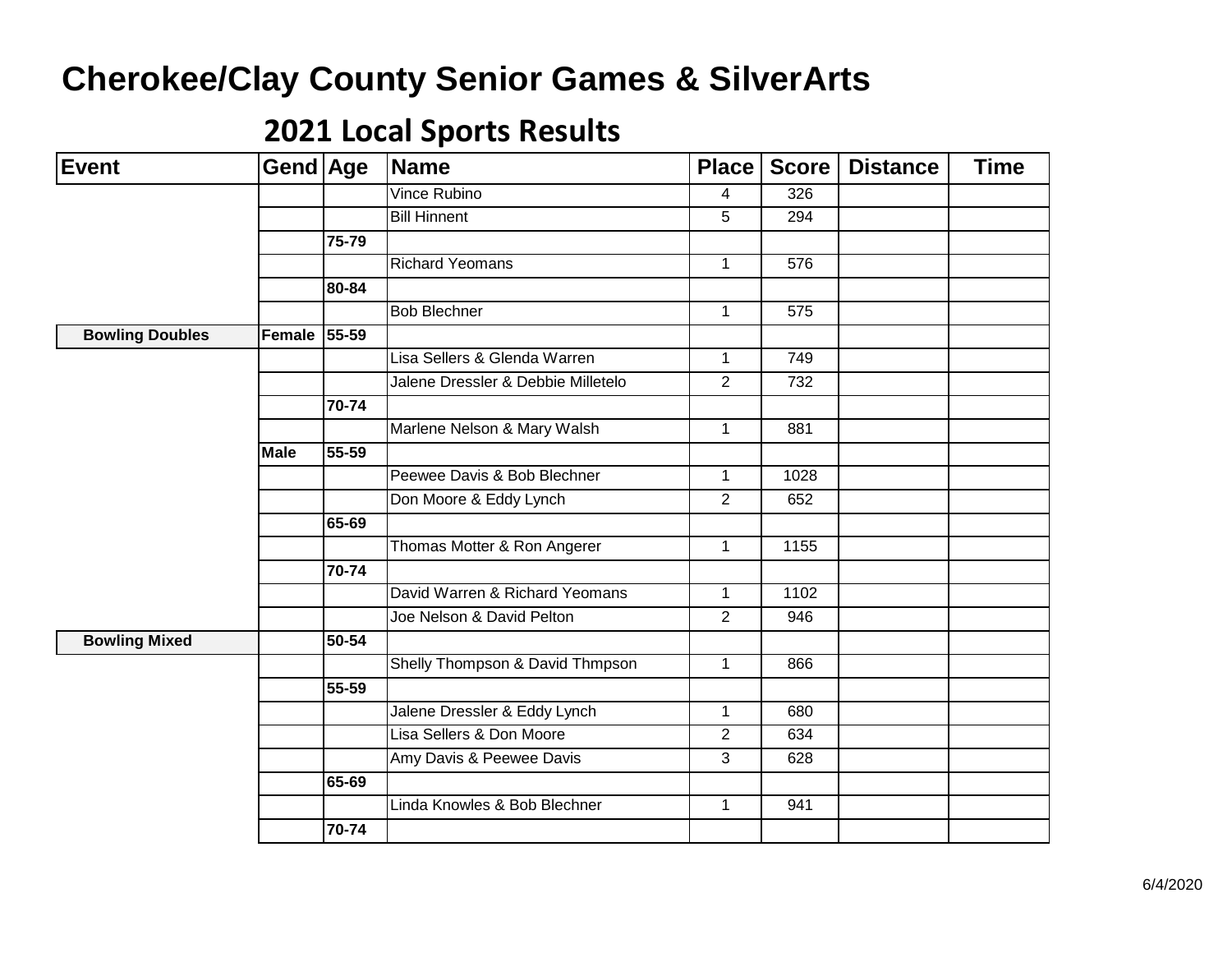| <b>Event</b>           | Gend Age    |       | <b>Name</b>                        | Place          | <b>Score</b> | <b>Distance</b> | <b>Time</b> |
|------------------------|-------------|-------|------------------------------------|----------------|--------------|-----------------|-------------|
|                        |             |       | <b>Vince Rubino</b>                | 4              | 326          |                 |             |
|                        |             |       | <b>Bill Hinnent</b>                | 5              | 294          |                 |             |
|                        |             | 75-79 |                                    |                |              |                 |             |
|                        |             |       | <b>Richard Yeomans</b>             | $\mathbf{1}$   | 576          |                 |             |
|                        |             | 80-84 |                                    |                |              |                 |             |
|                        |             |       | <b>Bob Blechner</b>                | $\mathbf{1}$   | 575          |                 |             |
| <b>Bowling Doubles</b> | Female      | 55-59 |                                    |                |              |                 |             |
|                        |             |       | Lisa Sellers & Glenda Warren       | 1              | 749          |                 |             |
|                        |             |       | Jalene Dressler & Debbie Milletelo | 2              | 732          |                 |             |
|                        |             | 70-74 |                                    |                |              |                 |             |
|                        |             |       | Marlene Nelson & Mary Walsh        | $\mathbf{1}$   | 881          |                 |             |
|                        | <b>Male</b> | 55-59 |                                    |                |              |                 |             |
|                        |             |       | Peewee Davis & Bob Blechner        | $\mathbf{1}$   | 1028         |                 |             |
|                        |             |       | Don Moore & Eddy Lynch             | 2              | 652          |                 |             |
|                        |             | 65-69 |                                    |                |              |                 |             |
|                        |             |       | Thomas Motter & Ron Angerer        | 1              | 1155         |                 |             |
|                        |             | 70-74 |                                    |                |              |                 |             |
|                        |             |       | David Warren & Richard Yeomans     | $\mathbf{1}$   | 1102         |                 |             |
|                        |             |       | Joe Nelson & David Pelton          | 2              | 946          |                 |             |
| <b>Bowling Mixed</b>   |             | 50-54 |                                    |                |              |                 |             |
|                        |             |       | Shelly Thompson & David Thmpson    | $\mathbf{1}$   | 866          |                 |             |
|                        |             | 55-59 |                                    |                |              |                 |             |
|                        |             |       | Jalene Dressler & Eddy Lynch       | $\mathbf{1}$   | 680          |                 |             |
|                        |             |       | Lisa Sellers & Don Moore           | $\overline{2}$ | 634          |                 |             |
|                        |             |       | Amy Davis & Peewee Davis           | 3              | 628          |                 |             |
|                        |             | 65-69 |                                    |                |              |                 |             |
|                        |             |       | Linda Knowles & Bob Blechner       | 1              | 941          |                 |             |
|                        |             | 70-74 |                                    |                |              |                 |             |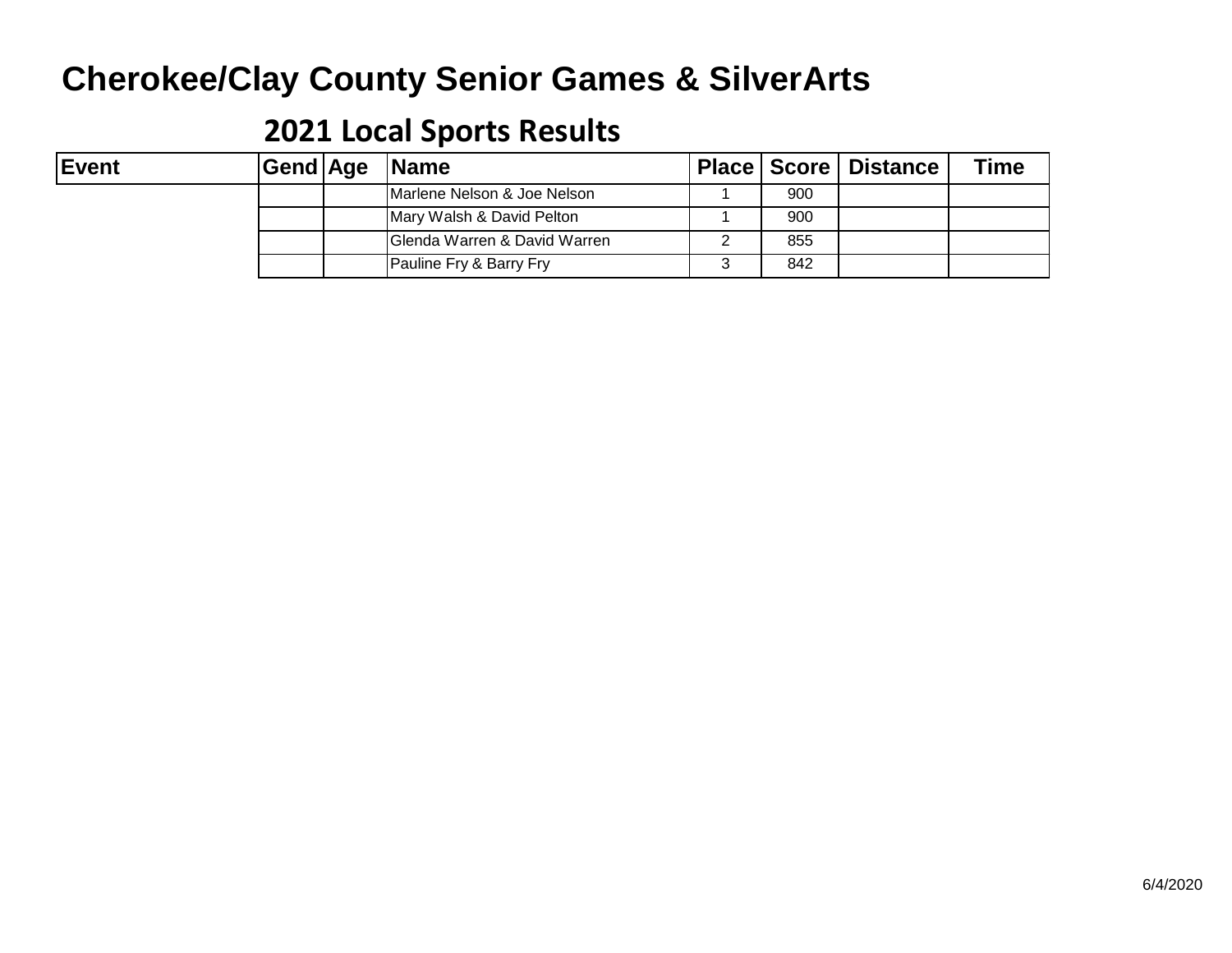| Event | Gend |
|-------|------|
|-------|------|

|  | Gend Age  Name               |     | Place   Score   Distance | Гіmе |
|--|------------------------------|-----|--------------------------|------|
|  | Marlene Nelson & Joe Nelson  | 900 |                          |      |
|  | Mary Walsh & David Pelton    | 900 |                          |      |
|  | Glenda Warren & David Warren | 855 |                          |      |
|  | Pauline Fry & Barry Fry      | 842 |                          |      |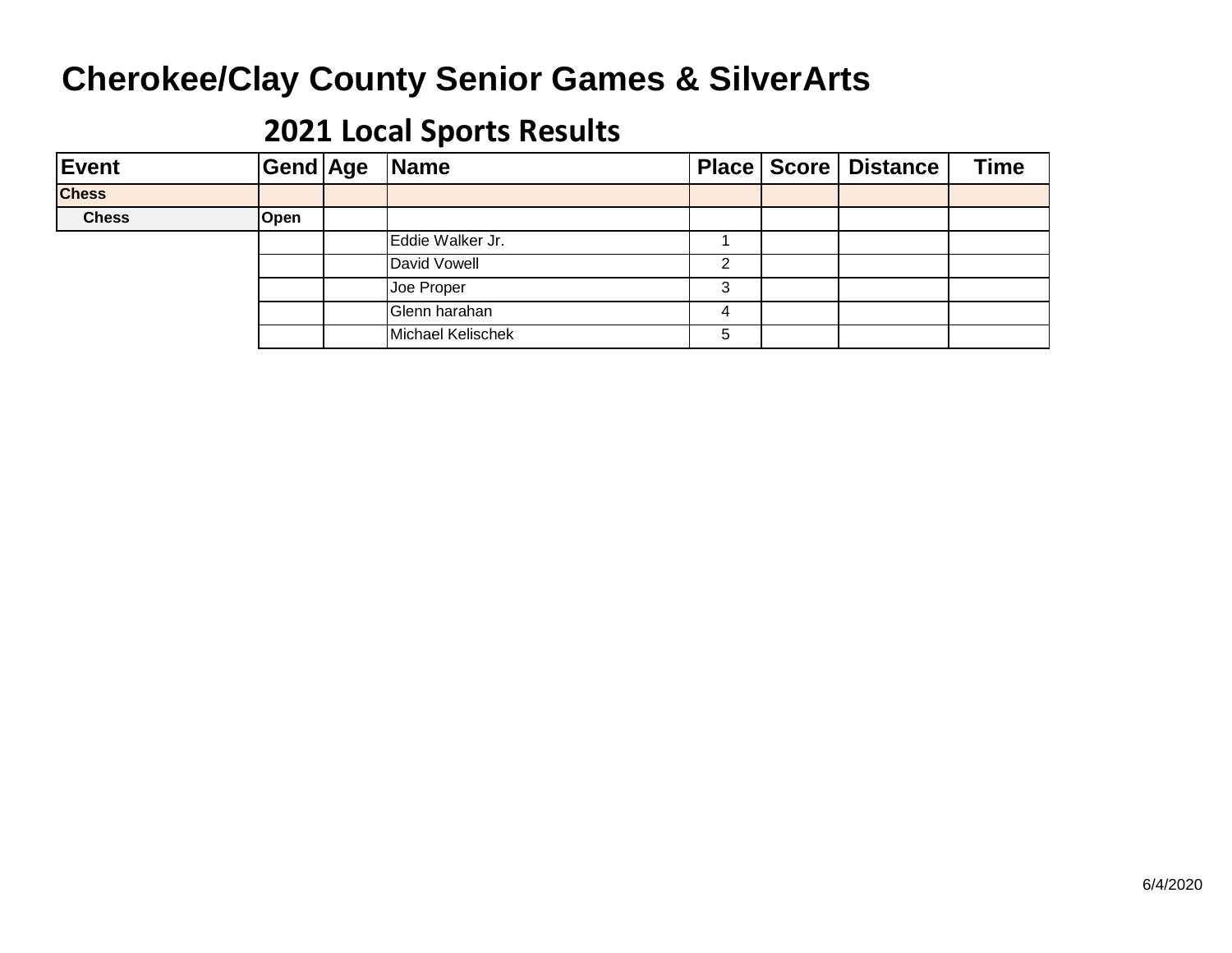| Event        |      | Gend Age Name     |   | Place   Score   Distance | <b>Time</b> |
|--------------|------|-------------------|---|--------------------------|-------------|
| <b>Chess</b> |      |                   |   |                          |             |
| <b>Chess</b> | Open |                   |   |                          |             |
|              |      | Eddie Walker Jr.  |   |                          |             |
|              |      | David Vowell      | ົ |                          |             |
|              |      | Joe Proper        | 3 |                          |             |
|              |      | Glenn harahan     | 4 |                          |             |
|              |      | Michael Kelischek | 5 |                          |             |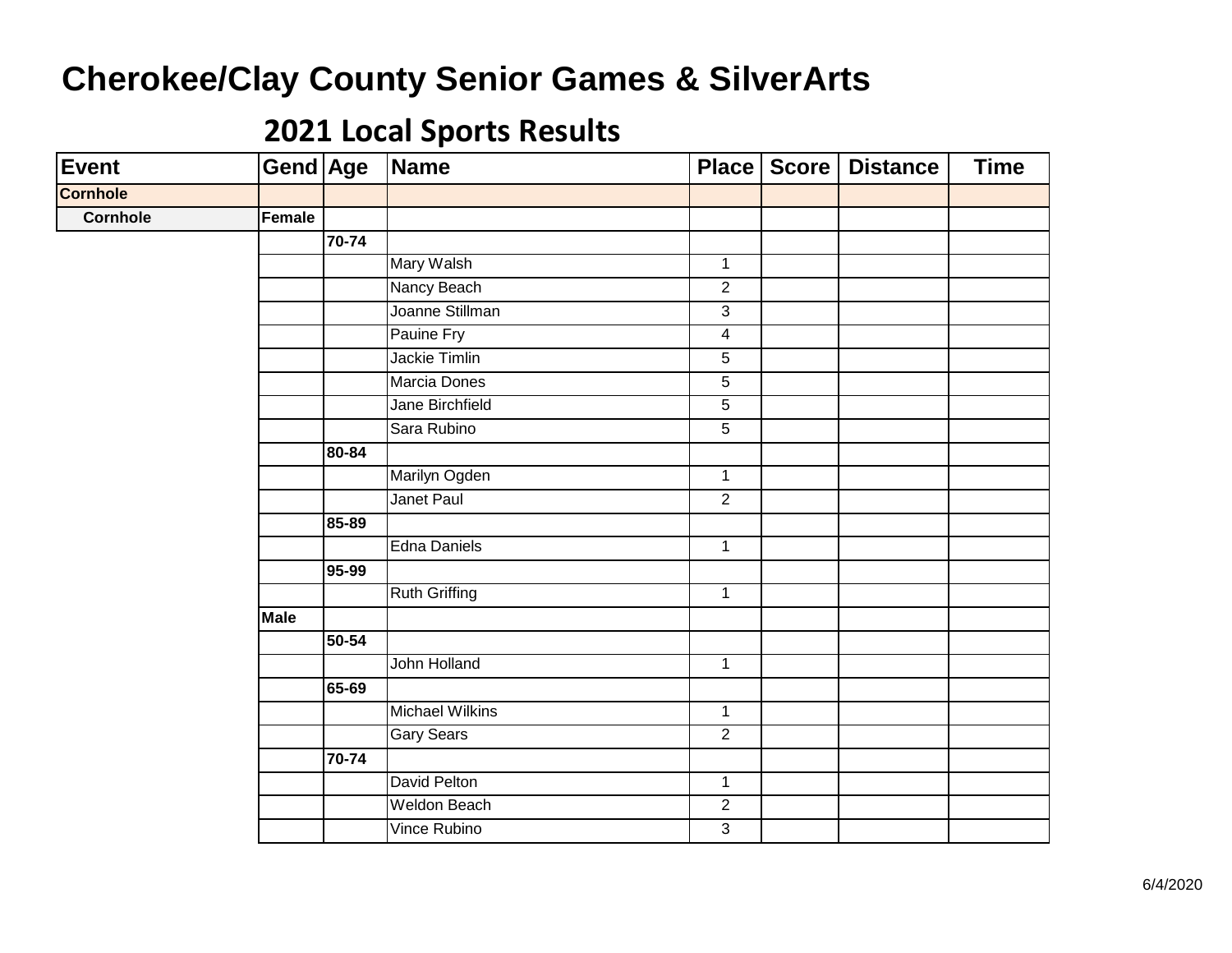| Event           | <b>Gend Age</b> |                    | Name                   |                | Place   Score   Distance | <b>Time</b> |
|-----------------|-----------------|--------------------|------------------------|----------------|--------------------------|-------------|
| <b>Cornhole</b> |                 |                    |                        |                |                          |             |
| <b>Cornhole</b> | Female          |                    |                        |                |                          |             |
|                 |                 | $70 - 74$          |                        |                |                          |             |
|                 |                 |                    | Mary Walsh             | $\mathbf{1}$   |                          |             |
|                 |                 |                    | Nancy Beach            | $\overline{2}$ |                          |             |
|                 |                 |                    | Joanne Stillman        | $\overline{3}$ |                          |             |
|                 |                 |                    | Pauine Fry             | $\overline{4}$ |                          |             |
|                 |                 |                    | <b>Jackie Timlin</b>   | $\overline{5}$ |                          |             |
|                 |                 |                    | Marcia Dones           | $\overline{5}$ |                          |             |
|                 |                 |                    | Jane Birchfield        | 5              |                          |             |
|                 |                 |                    | Sara Rubino            | $\overline{5}$ |                          |             |
|                 |                 | 80-84              |                        |                |                          |             |
|                 |                 |                    | Marilyn Ogden          | $\mathbf 1$    |                          |             |
|                 |                 |                    | Janet Paul             | $\overline{2}$ |                          |             |
|                 |                 | 85-89              |                        |                |                          |             |
|                 |                 |                    | <b>Edna Daniels</b>    | $\mathbf{1}$   |                          |             |
|                 |                 | 95-99              |                        |                |                          |             |
|                 |                 |                    | <b>Ruth Griffing</b>   | $\mathbf{1}$   |                          |             |
|                 | <b>Male</b>     |                    |                        |                |                          |             |
|                 |                 | $\overline{50-54}$ |                        |                |                          |             |
|                 |                 |                    | John Holland           | $\mathbf{1}$   |                          |             |
|                 |                 | 65-69              |                        |                |                          |             |
|                 |                 |                    | <b>Michael Wilkins</b> | $\mathbf{1}$   |                          |             |
|                 |                 |                    | <b>Gary Sears</b>      | $\overline{2}$ |                          |             |
|                 |                 | 70-74              |                        |                |                          |             |
|                 |                 |                    | David Pelton           | $\mathbf{1}$   |                          |             |
|                 |                 |                    | <b>Weldon Beach</b>    | $\overline{2}$ |                          |             |
|                 |                 |                    | Vince Rubino           | $\overline{3}$ |                          |             |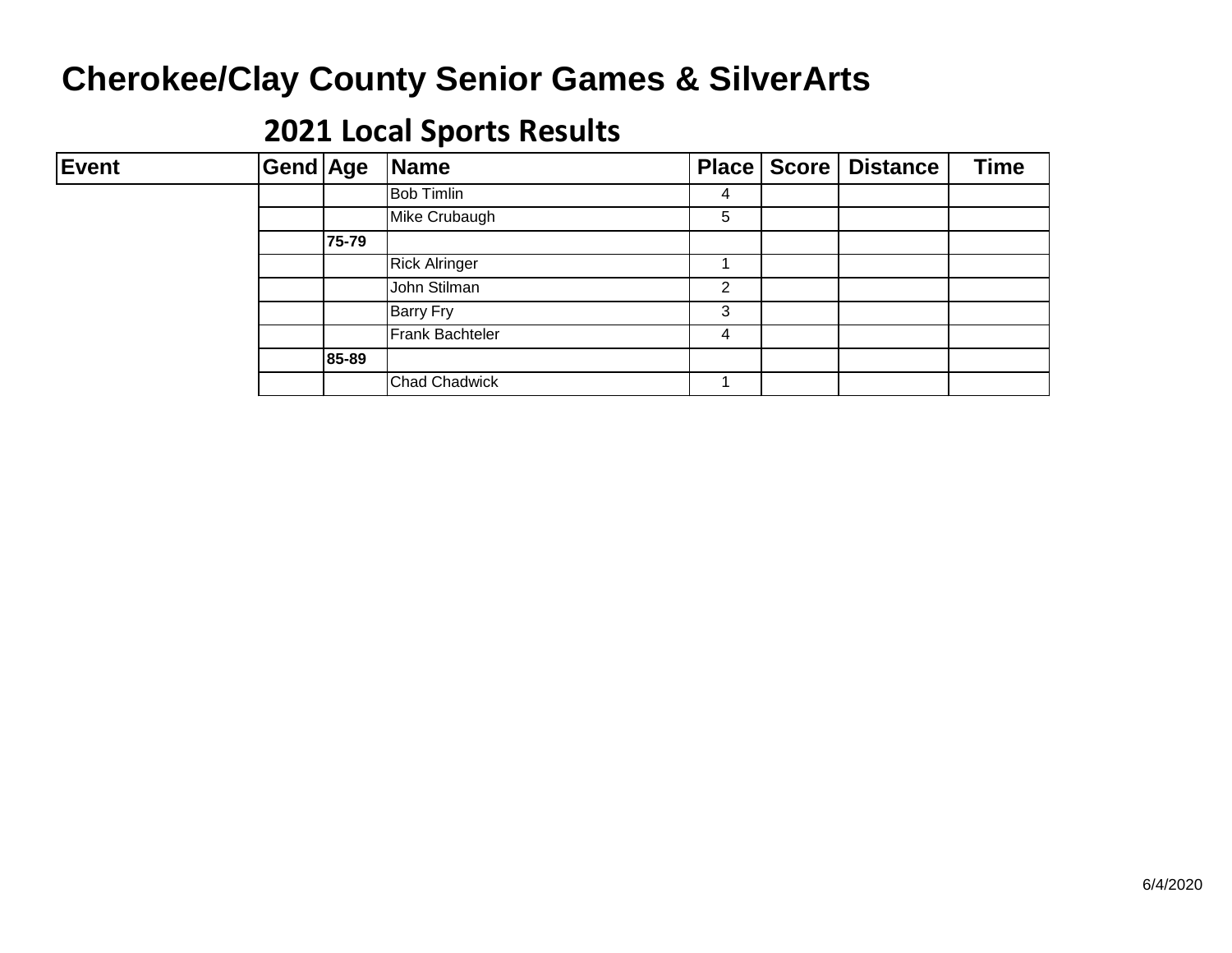| <b>Event</b> | Gend Age |       | Name                 |                | Place   Score   Distance | <b>Time</b> |
|--------------|----------|-------|----------------------|----------------|--------------------------|-------------|
|              |          |       | <b>Bob Timlin</b>    | 4              |                          |             |
|              |          |       | Mike Crubaugh        | 5              |                          |             |
|              |          | 75-79 |                      |                |                          |             |
|              |          |       | <b>Rick Alringer</b> |                |                          |             |
|              |          |       | John Stilman         | $\overline{2}$ |                          |             |
|              |          |       | <b>Barry Fry</b>     | 3              |                          |             |
|              |          |       | Frank Bachteler      | 4              |                          |             |
|              |          | 85-89 |                      |                |                          |             |
|              |          |       | <b>Chad Chadwick</b> |                |                          |             |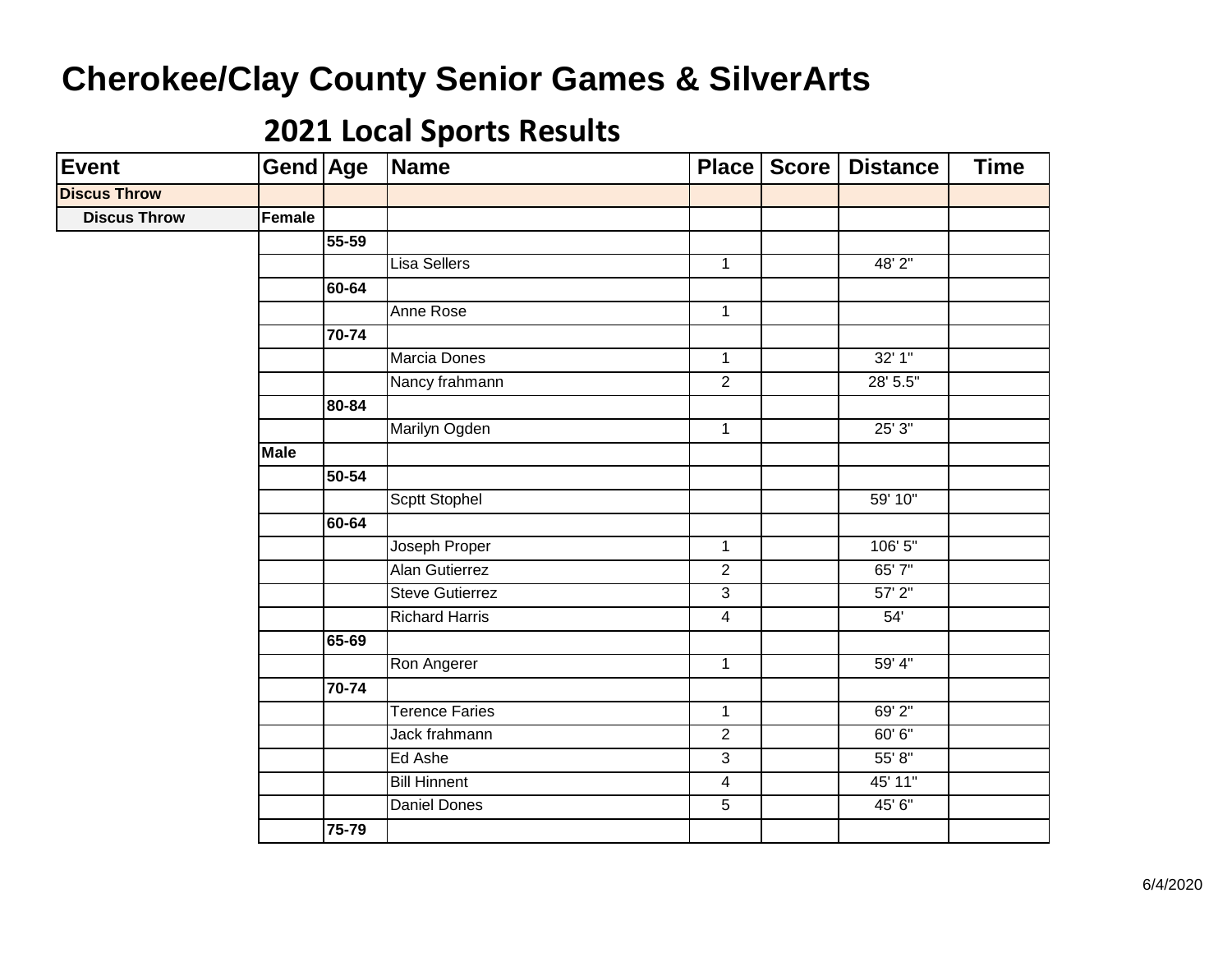| <b>Event</b>        | Gend Age    |           | Name                   |                | Place   Score | <b>Distance</b> | <b>Time</b> |
|---------------------|-------------|-----------|------------------------|----------------|---------------|-----------------|-------------|
| <b>Discus Throw</b> |             |           |                        |                |               |                 |             |
| <b>Discus Throw</b> | Female      |           |                        |                |               |                 |             |
|                     |             | 55-59     |                        |                |               |                 |             |
|                     |             |           | Lisa Sellers           | $\mathbf{1}$   |               | 48' 2"          |             |
|                     |             | 60-64     |                        |                |               |                 |             |
|                     |             |           | Anne Rose              | $\mathbf{1}$   |               |                 |             |
|                     |             | 70-74     |                        |                |               |                 |             |
|                     |             |           | Marcia Dones           | $\mathbf{1}$   |               | 32'1''          |             |
|                     |             |           | Nancy frahmann         | $\overline{2}$ |               | 28' 5.5"        |             |
|                     |             | 80-84     |                        |                |               |                 |             |
|                     |             |           | Marilyn Ogden          | $\overline{1}$ |               | 25'3''          |             |
|                     | <b>Male</b> |           |                        |                |               |                 |             |
|                     |             | 50-54     |                        |                |               |                 |             |
|                     |             |           | Scptt Stophel          |                |               | 59' 10"         |             |
|                     |             | 60-64     |                        |                |               |                 |             |
|                     |             |           | Joseph Proper          | $\mathbf{1}$   |               | 106'5''         |             |
|                     |             |           | Alan Gutierrez         | $\overline{2}$ |               | 65' 7"          |             |
|                     |             |           | <b>Steve Gutierrez</b> | $\overline{3}$ |               | $57'$ $2''$     |             |
|                     |             |           | <b>Richard Harris</b>  | $\overline{4}$ |               | 54'             |             |
|                     |             | 65-69     |                        |                |               |                 |             |
|                     |             |           | Ron Angerer            | $\mathbf{1}$   |               | 59' 4"          |             |
|                     |             | $70 - 74$ |                        |                |               |                 |             |
|                     |             |           | <b>Terence Faries</b>  | $\mathbf{1}$   |               | 69' 2"          |             |
|                     |             |           | Jack frahmann          | $\overline{2}$ |               | 60' 6"          |             |
|                     |             |           | Ed Ashe                | $\overline{3}$ |               | 55' 8"          |             |
|                     |             |           | <b>Bill Hinnent</b>    | 4              |               | 45' 11"         |             |
|                     |             |           | <b>Daniel Dones</b>    | $\overline{5}$ |               | 45' 6"          |             |
|                     |             | 75-79     |                        |                |               |                 |             |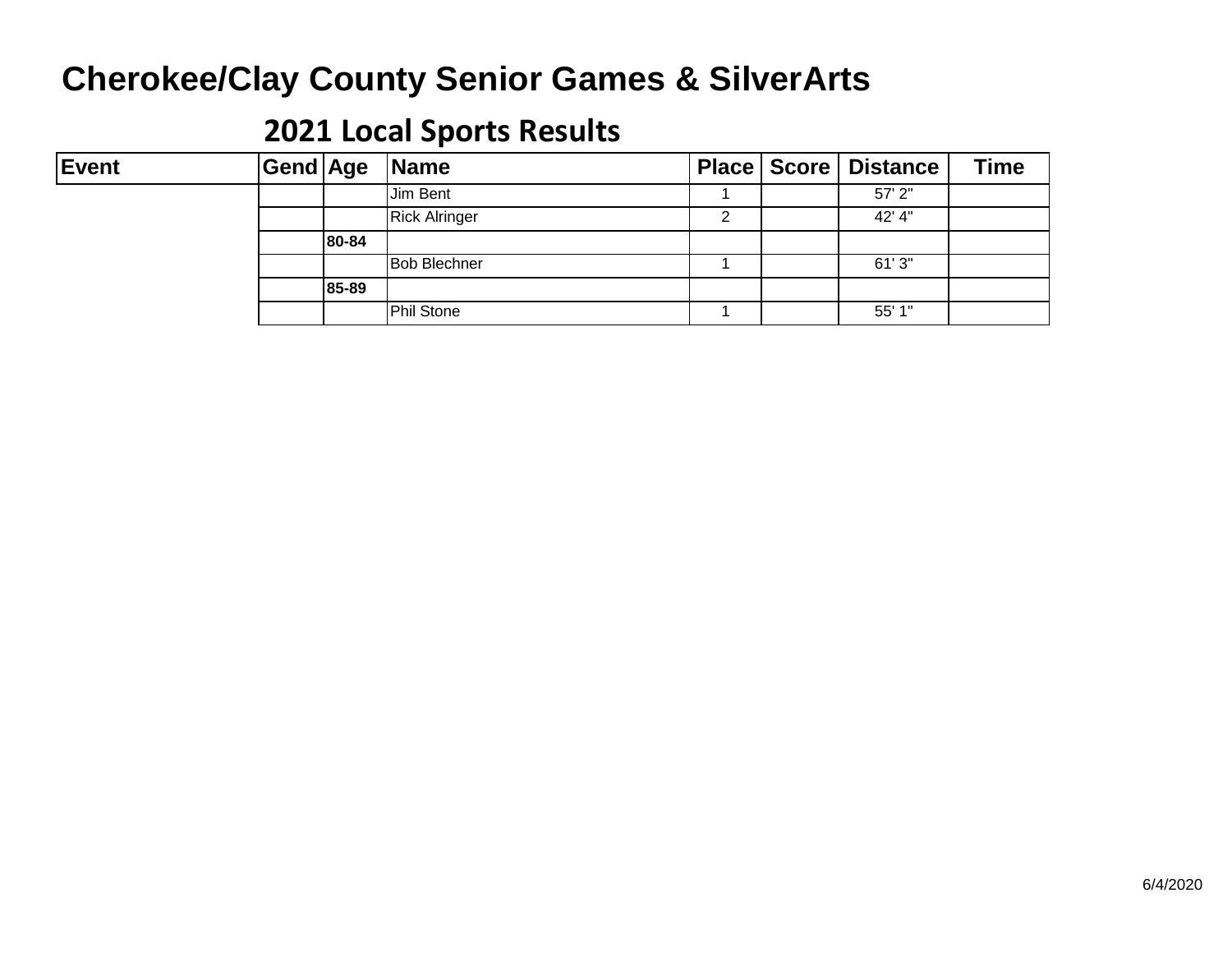| <b>Event</b> | Gend Age |       | <b>Name</b>          |   | <b>Place   Score   Distance</b> | <b>Time</b> |
|--------------|----------|-------|----------------------|---|---------------------------------|-------------|
|              |          |       | Jim Bent             |   | $57'$ 2"                        |             |
|              |          |       | <b>Rick Alringer</b> | ົ | 42' 4"                          |             |
|              |          | 80-84 |                      |   |                                 |             |
|              |          |       | <b>Bob Blechner</b>  |   | 61'3''                          |             |
|              |          | 85-89 |                      |   |                                 |             |
|              |          |       | <b>Phil Stone</b>    |   | 55' 1"                          |             |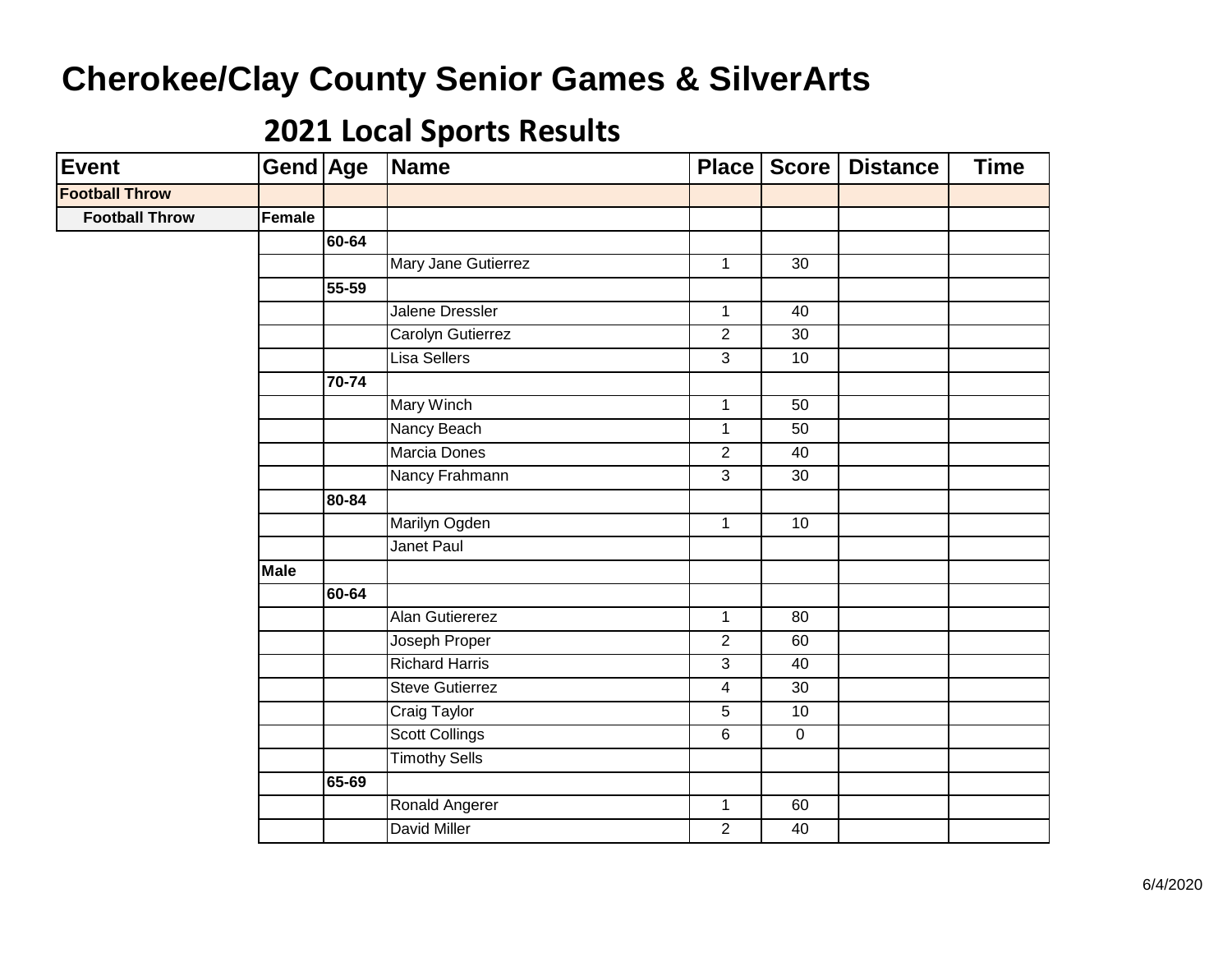| <b>Event</b>          | Gend Age    |       | Name                   | <b>Place</b>   | Score               | <b>Distance</b> | <b>Time</b> |
|-----------------------|-------------|-------|------------------------|----------------|---------------------|-----------------|-------------|
| <b>Football Throw</b> |             |       |                        |                |                     |                 |             |
| <b>Football Throw</b> | Female      |       |                        |                |                     |                 |             |
|                       |             | 60-64 |                        |                |                     |                 |             |
|                       |             |       | Mary Jane Gutierrez    | $\mathbf{1}$   | 30                  |                 |             |
|                       |             | 55-59 |                        |                |                     |                 |             |
|                       |             |       | Jalene Dressler        | $\overline{1}$ | 40                  |                 |             |
|                       |             |       | Carolyn Gutierrez      | $\overline{2}$ | 30                  |                 |             |
|                       |             |       | Lisa Sellers           | $\overline{3}$ | 10                  |                 |             |
|                       |             | 70-74 |                        |                |                     |                 |             |
|                       |             |       | Mary Winch             | $\mathbf{1}$   | 50                  |                 |             |
|                       |             |       | Nancy Beach            | $\mathbf{1}$   | 50                  |                 |             |
|                       |             |       | Marcia Dones           | $\overline{2}$ | 40                  |                 |             |
|                       |             |       | Nancy Frahmann         | $\overline{3}$ | 30                  |                 |             |
|                       |             | 80-84 |                        |                |                     |                 |             |
|                       |             |       | Marilyn Ogden          | $\overline{1}$ | 10                  |                 |             |
|                       |             |       | Janet Paul             |                |                     |                 |             |
|                       | <b>Male</b> |       |                        |                |                     |                 |             |
|                       |             | 60-64 |                        |                |                     |                 |             |
|                       |             |       | Alan Gutiererez        | $\mathbf{1}$   | 80                  |                 |             |
|                       |             |       | Joseph Proper          | $\overline{2}$ | 60                  |                 |             |
|                       |             |       | <b>Richard Harris</b>  | $\overline{3}$ | 40                  |                 |             |
|                       |             |       | <b>Steve Gutierrez</b> | $\overline{4}$ | 30                  |                 |             |
|                       |             |       | Craig Taylor           | $\overline{5}$ | 10                  |                 |             |
|                       |             |       | <b>Scott Collings</b>  | $\overline{6}$ | $\mathsf{O}\xspace$ |                 |             |
|                       |             |       | <b>Timothy Sells</b>   |                |                     |                 |             |
|                       |             | 65-69 |                        |                |                     |                 |             |
|                       |             |       | Ronald Angerer         | $\overline{1}$ | 60                  |                 |             |
|                       |             |       | <b>David Miller</b>    | $\overline{2}$ | 40                  |                 |             |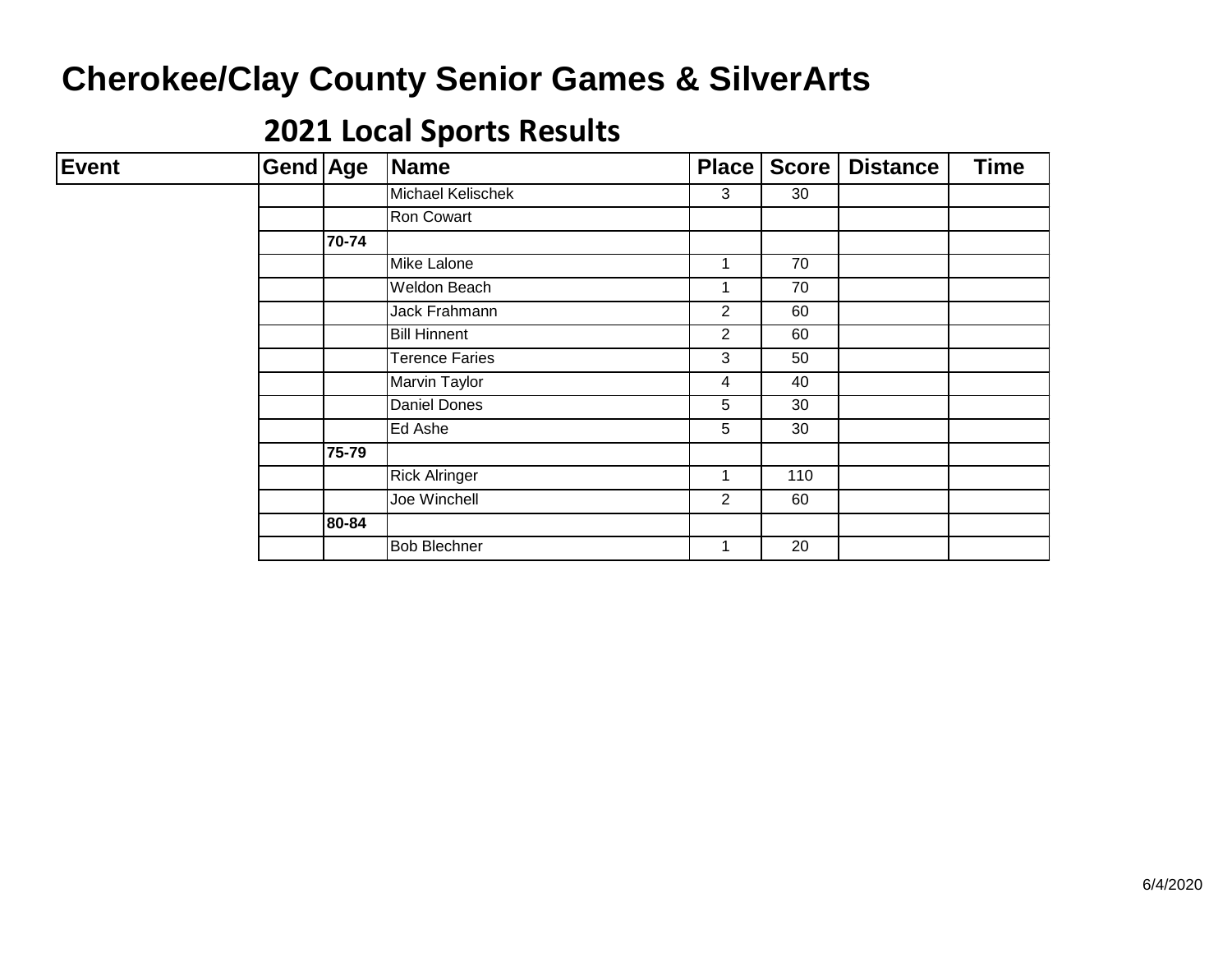| <b>Event</b> | Gend Age |       | Name                 | <b>Place</b>   | <b>Score</b> | <b>Distance</b> | <b>Time</b> |
|--------------|----------|-------|----------------------|----------------|--------------|-----------------|-------------|
|              |          |       | Michael Kelischek    | 3              | 30           |                 |             |
|              |          |       | Ron Cowart           |                |              |                 |             |
|              |          | 70-74 |                      |                |              |                 |             |
|              |          |       | Mike Lalone          | 1              | 70           |                 |             |
|              |          |       | Weldon Beach         | 1              | 70           |                 |             |
|              |          |       | Jack Frahmann        | 2              | 60           |                 |             |
|              |          |       | <b>Bill Hinnent</b>  | $\overline{2}$ | 60           |                 |             |
|              |          |       | Terence Faries       | 3              | 50           |                 |             |
|              |          |       | <b>Marvin Taylor</b> | 4              | 40           |                 |             |
|              |          |       | Daniel Dones         | 5              | 30           |                 |             |
|              |          |       | Ed Ashe              | 5              | 30           |                 |             |
|              |          | 75-79 |                      |                |              |                 |             |
|              |          |       | <b>Rick Alringer</b> | $\mathbf{1}$   | 110          |                 |             |
|              |          |       | Joe Winchell         | $\overline{2}$ | 60           |                 |             |
|              |          | 80-84 |                      |                |              |                 |             |
|              |          |       | <b>Bob Blechner</b>  | 1              | 20           |                 |             |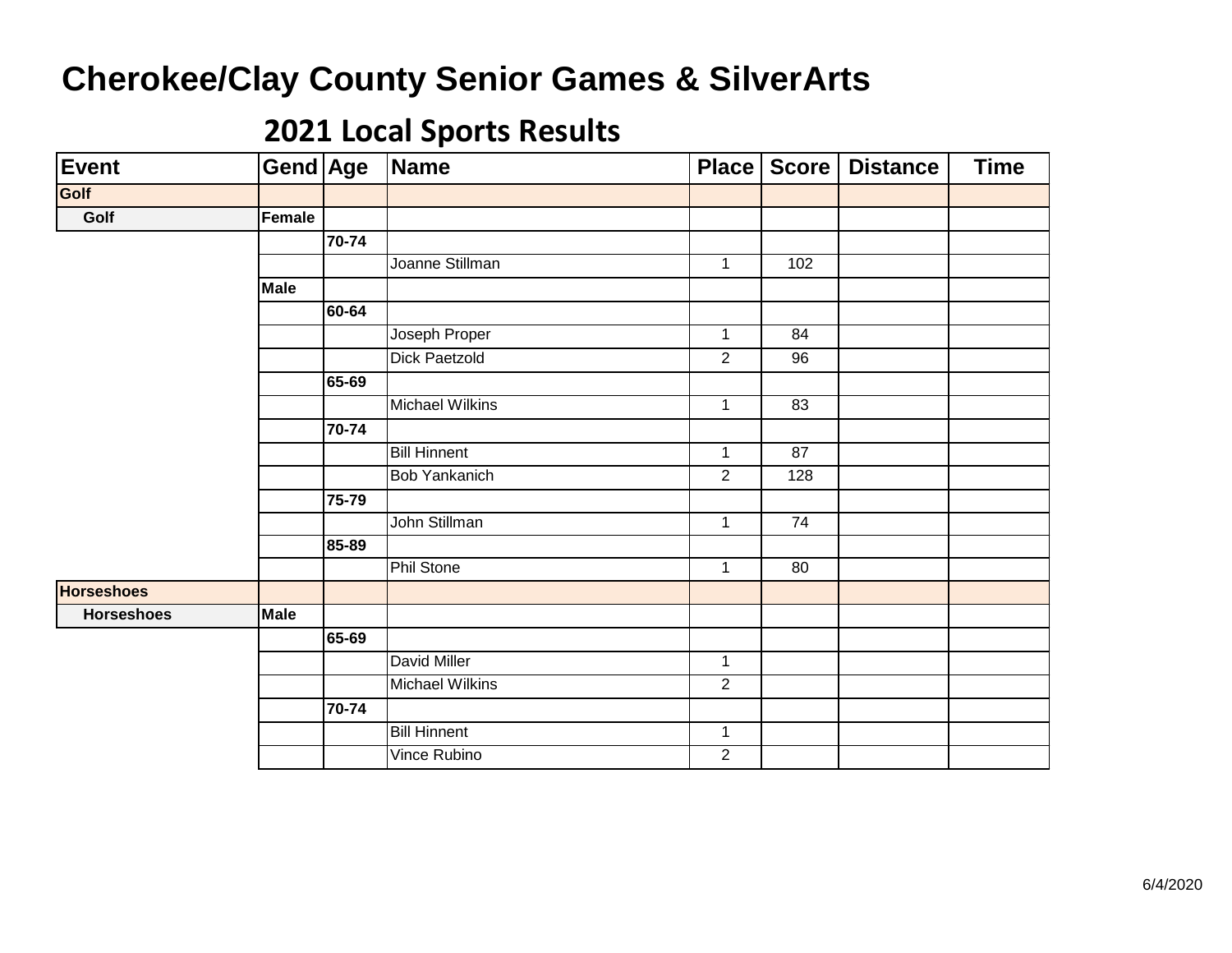| Event             | <b>Gend Age</b> |           | Name                   | Place          | <b>Score</b>    | <b>Distance</b> | <b>Time</b> |
|-------------------|-----------------|-----------|------------------------|----------------|-----------------|-----------------|-------------|
| Golf              |                 |           |                        |                |                 |                 |             |
| Golf              | Female          |           |                        |                |                 |                 |             |
|                   |                 | 70-74     |                        |                |                 |                 |             |
|                   |                 |           | Joanne Stillman        | $\mathbf{1}$   | 102             |                 |             |
|                   | <b>Male</b>     |           |                        |                |                 |                 |             |
|                   |                 | 60-64     |                        |                |                 |                 |             |
|                   |                 |           | Joseph Proper          | $\mathbf{1}$   | 84              |                 |             |
|                   |                 |           | <b>Dick Paetzold</b>   | $\overline{2}$ | 96              |                 |             |
|                   |                 | 65-69     |                        |                |                 |                 |             |
|                   |                 |           | <b>Michael Wilkins</b> | $\mathbf{1}$   | 83              |                 |             |
|                   |                 | $70 - 74$ |                        |                |                 |                 |             |
|                   |                 |           | <b>Bill Hinnent</b>    | 1              | 87              |                 |             |
|                   |                 |           | <b>Bob Yankanich</b>   | $\sqrt{2}$     | 128             |                 |             |
|                   |                 | 75-79     |                        |                |                 |                 |             |
|                   |                 |           | John Stillman          | $\mathbf{1}$   | $\overline{74}$ |                 |             |
|                   |                 | 85-89     |                        |                |                 |                 |             |
|                   |                 |           | <b>Phil Stone</b>      | 1              | 80              |                 |             |
| <b>Horseshoes</b> |                 |           |                        |                |                 |                 |             |
| <b>Horseshoes</b> | <b>Male</b>     |           |                        |                |                 |                 |             |
|                   |                 | 65-69     |                        |                |                 |                 |             |
|                   |                 |           | David Miller           | $\mathbf{1}$   |                 |                 |             |
|                   |                 |           | Michael Wilkins        | 2              |                 |                 |             |
|                   |                 | 70-74     |                        |                |                 |                 |             |
|                   |                 |           | <b>Bill Hinnent</b>    | $\mathbf{1}$   |                 |                 |             |
|                   |                 |           | Vince Rubino           | $\overline{2}$ |                 |                 |             |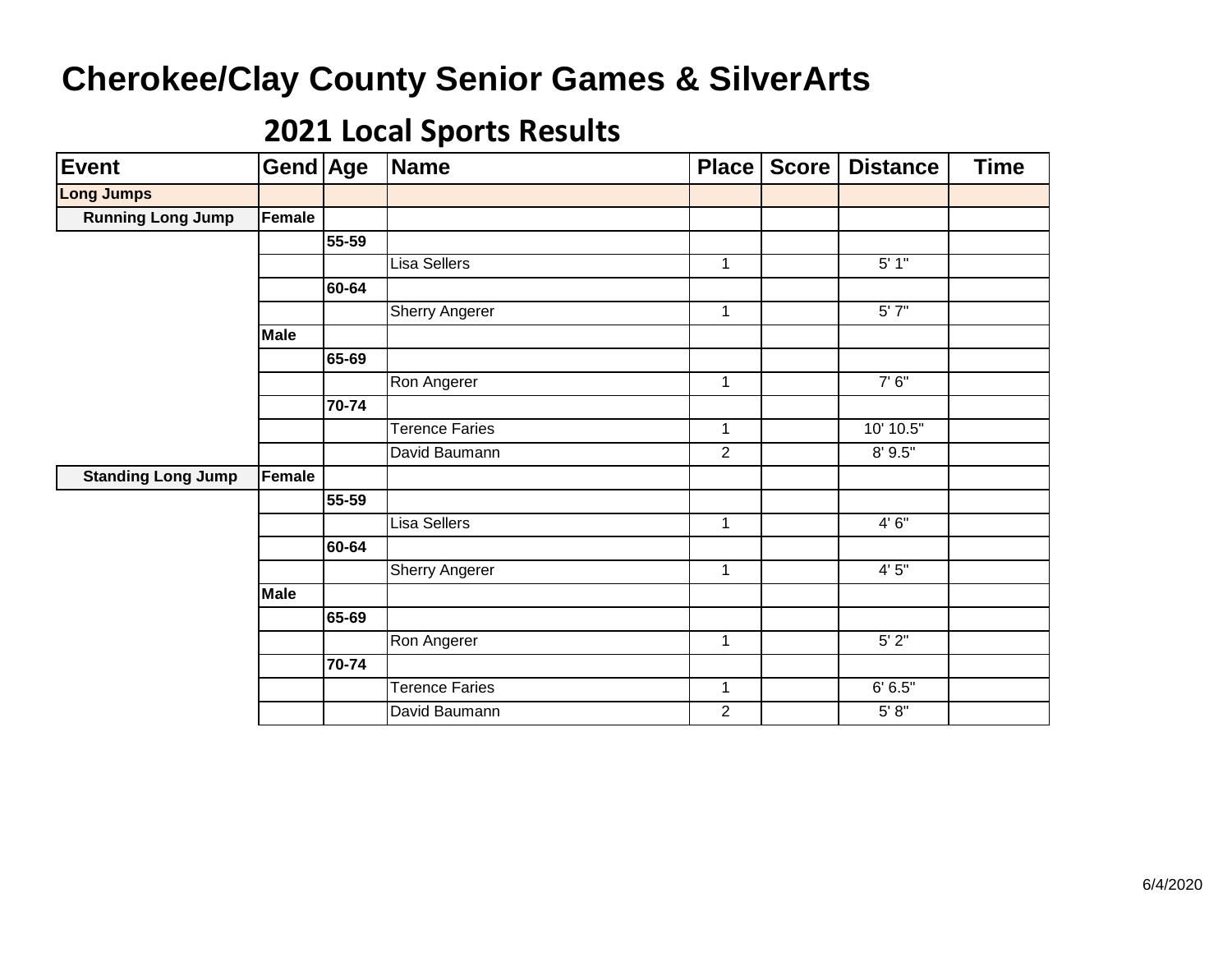| Event                     | Gend Age    |       | Name                  | Place          | <b>Score</b> | <b>Distance</b> | <b>Time</b> |
|---------------------------|-------------|-------|-----------------------|----------------|--------------|-----------------|-------------|
| <b>Long Jumps</b>         |             |       |                       |                |              |                 |             |
| <b>Running Long Jump</b>  | Female      |       |                       |                |              |                 |             |
|                           |             | 55-59 |                       |                |              |                 |             |
|                           |             |       | Lisa Sellers          | $\mathbf{1}$   |              | 5'1"            |             |
|                           |             | 60-64 |                       |                |              |                 |             |
|                           |             |       | <b>Sherry Angerer</b> | $\mathbf{1}$   |              | 5'7''           |             |
|                           | <b>Male</b> |       |                       |                |              |                 |             |
|                           |             | 65-69 |                       |                |              |                 |             |
|                           |             |       | Ron Angerer           | $\mathbf{1}$   |              | 7'6''           |             |
|                           |             | 70-74 |                       |                |              |                 |             |
|                           |             |       | <b>Terence Faries</b> | 1              |              | 10' 10.5"       |             |
|                           |             |       | David Baumann         | $\overline{2}$ |              | 8' 9.5"         |             |
| <b>Standing Long Jump</b> | Female      |       |                       |                |              |                 |             |
|                           |             | 55-59 |                       |                |              |                 |             |
|                           |             |       | <b>Lisa Sellers</b>   | $\mathbf{1}$   |              | 4'6''           |             |
|                           |             | 60-64 |                       |                |              |                 |             |
|                           |             |       | <b>Sherry Angerer</b> | $\mathbf{1}$   |              | 4'5''           |             |
|                           | <b>Male</b> |       |                       |                |              |                 |             |
|                           |             | 65-69 |                       |                |              |                 |             |
|                           |             |       | Ron Angerer           | $\mathbf 1$    |              | 5'2"            |             |
|                           |             | 70-74 |                       |                |              |                 |             |
|                           |             |       | <b>Terence Faries</b> | $\mathbf{1}$   |              | 6' 6.5''        |             |
|                           |             |       | David Baumann         | $\overline{2}$ |              | 5' 8''          |             |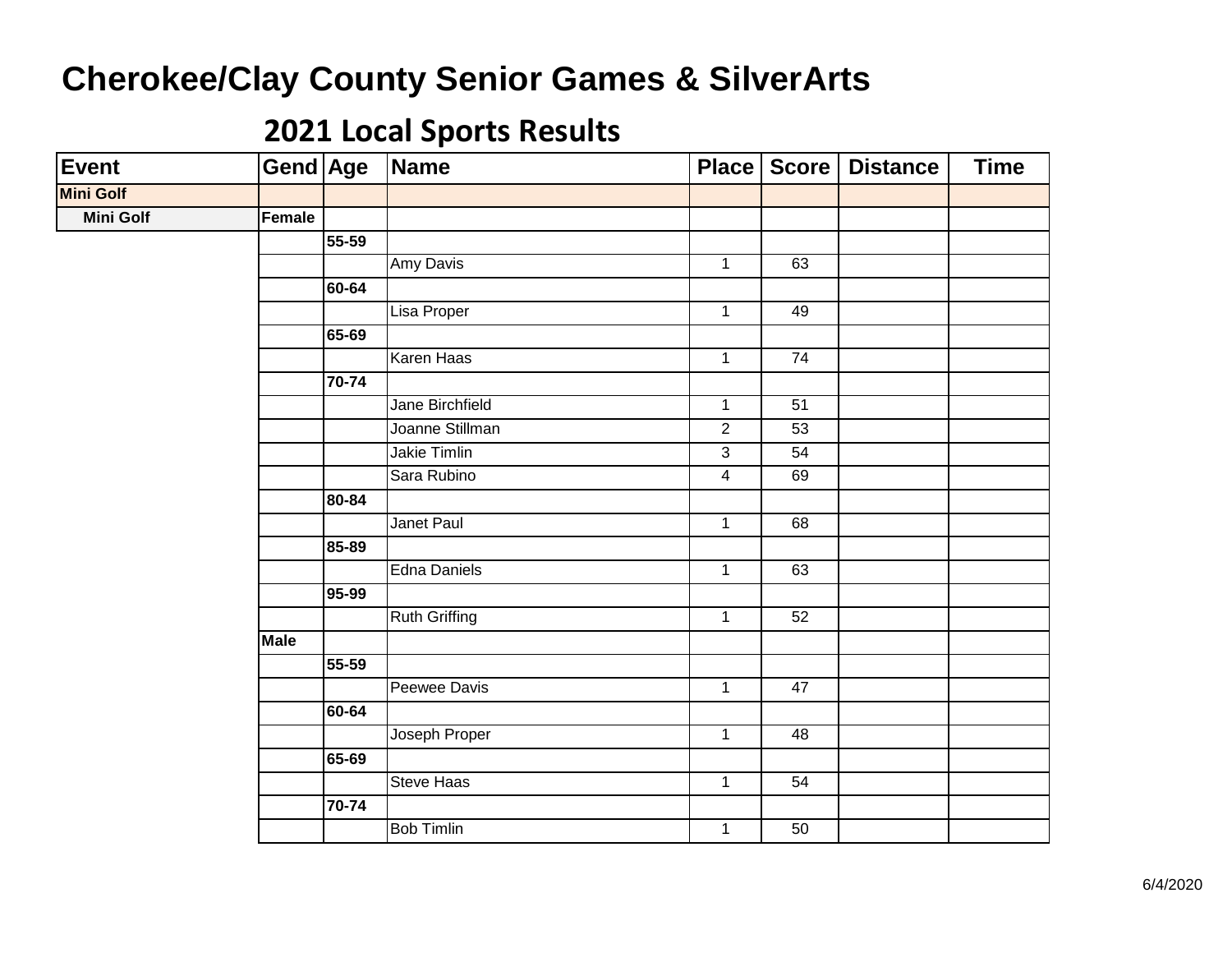| Event            | Gend Age    |       | Name                 |                         | Place   Score   | <b>Distance</b> | <b>Time</b> |
|------------------|-------------|-------|----------------------|-------------------------|-----------------|-----------------|-------------|
| <b>Mini Golf</b> |             |       |                      |                         |                 |                 |             |
| <b>Mini Golf</b> | Female      |       |                      |                         |                 |                 |             |
|                  |             | 55-59 |                      |                         |                 |                 |             |
|                  |             |       | Amy Davis            | $\mathbf{1}$            | 63              |                 |             |
|                  |             | 60-64 |                      |                         |                 |                 |             |
|                  |             |       | Lisa Proper          | $\mathbf{1}$            | 49              |                 |             |
|                  |             | 65-69 |                      |                         |                 |                 |             |
|                  |             |       | Karen Haas           | $\overline{1}$          | $\overline{74}$ |                 |             |
|                  |             | 70-74 |                      |                         |                 |                 |             |
|                  |             |       | Jane Birchfield      | $\mathbf{1}$            | 51              |                 |             |
|                  |             |       | Joanne Stillman      | $\overline{2}$          | $\overline{53}$ |                 |             |
|                  |             |       | <b>Jakie Timlin</b>  | $\overline{3}$          | 54              |                 |             |
|                  |             |       | Sara Rubino          | $\overline{\mathbf{4}}$ | 69              |                 |             |
|                  |             | 80-84 |                      |                         |                 |                 |             |
|                  |             |       | Janet Paul           | $\mathbf 1$             | 68              |                 |             |
|                  |             | 85-89 |                      |                         |                 |                 |             |
|                  |             |       | <b>Edna Daniels</b>  | $\mathbf{1}$            | 63              |                 |             |
|                  |             | 95-99 |                      |                         |                 |                 |             |
|                  |             |       | <b>Ruth Griffing</b> | $\mathbf 1$             | 52              |                 |             |
|                  | <b>Male</b> |       |                      |                         |                 |                 |             |
|                  |             | 55-59 |                      |                         |                 |                 |             |
|                  |             |       | Peewee Davis         | $\mathbf 1$             | 47              |                 |             |
|                  |             | 60-64 |                      |                         |                 |                 |             |
|                  |             |       | Joseph Proper        | $\mathbf{1}$            | 48              |                 |             |
|                  |             | 65-69 |                      |                         |                 |                 |             |
|                  |             |       | <b>Steve Haas</b>    | $\mathbf 1$             | 54              |                 |             |
|                  |             | 70-74 |                      |                         |                 |                 |             |
|                  |             |       | <b>Bob Timlin</b>    | $\mathbf 1$             | 50              |                 |             |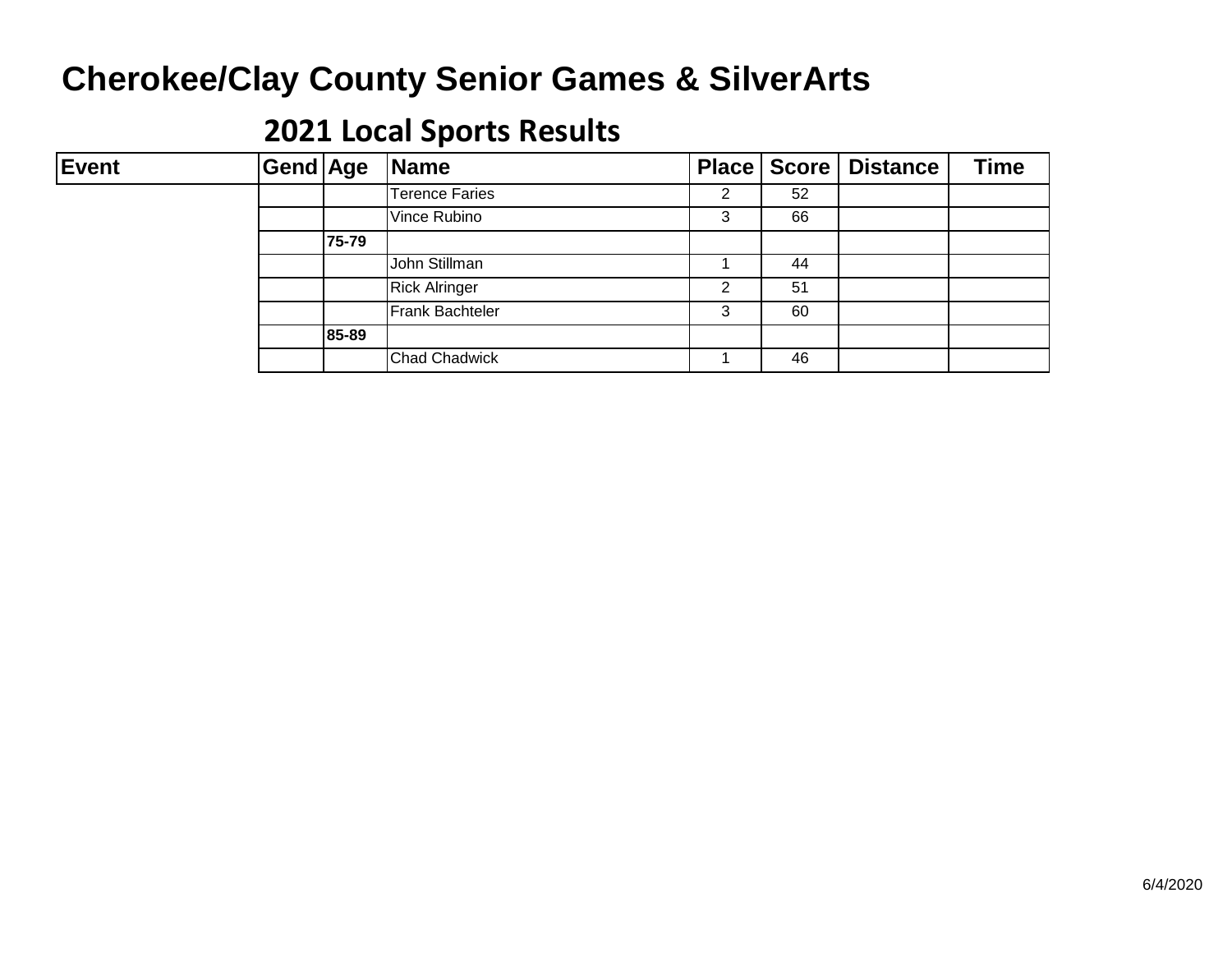| Event | Gend Age |       | Name                   |   |    | Place   Score   Distance | <b>Time</b> |
|-------|----------|-------|------------------------|---|----|--------------------------|-------------|
|       |          |       | <b>Terence Faries</b>  | ົ | 52 |                          |             |
|       |          |       | Vince Rubino           | 3 | 66 |                          |             |
|       |          | 75-79 |                        |   |    |                          |             |
|       |          |       | John Stillman          |   | 44 |                          |             |
|       |          |       | <b>Rick Alringer</b>   | ົ | 51 |                          |             |
|       |          |       | <b>Frank Bachteler</b> | 3 | 60 |                          |             |
|       |          | 85-89 |                        |   |    |                          |             |
|       |          |       | <b>Chad Chadwick</b>   |   | 46 |                          |             |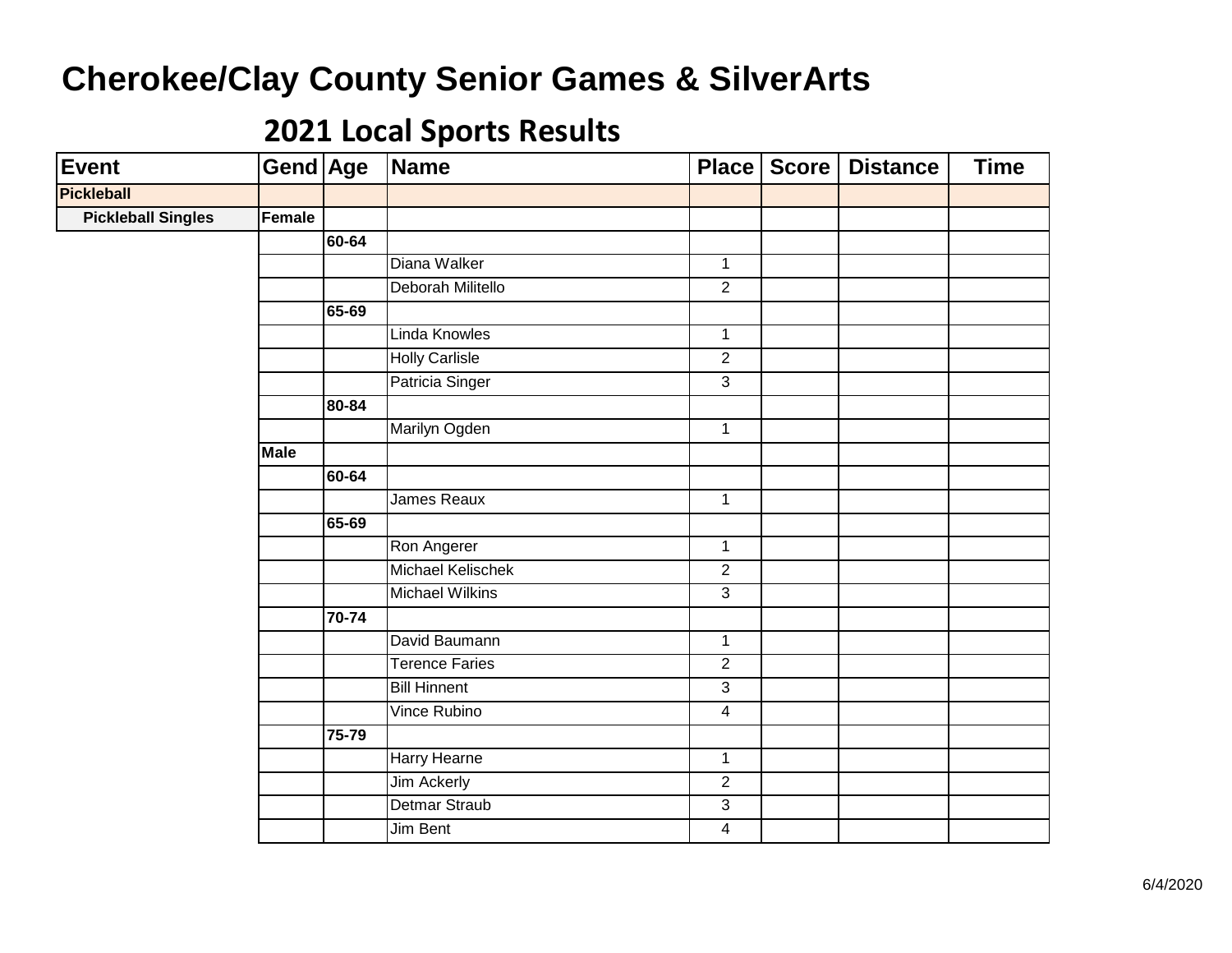| <b>Event</b>              | Gend Age    |                | Name                   | Place                   | Score | <b>Distance</b> | <b>Time</b> |
|---------------------------|-------------|----------------|------------------------|-------------------------|-------|-----------------|-------------|
| <b>Pickleball</b>         |             |                |                        |                         |       |                 |             |
| <b>Pickleball Singles</b> | Female      |                |                        |                         |       |                 |             |
|                           |             | 60-64          |                        |                         |       |                 |             |
|                           |             |                | Diana Walker           | $\mathbf{1}$            |       |                 |             |
|                           |             |                | Deborah Militello      | $\overline{2}$          |       |                 |             |
|                           |             | 65-69          |                        |                         |       |                 |             |
|                           |             |                | Linda Knowles          | $\overline{1}$          |       |                 |             |
|                           |             |                | <b>Holly Carlisle</b>  | $\overline{2}$          |       |                 |             |
|                           |             |                | Patricia Singer        | $\overline{3}$          |       |                 |             |
|                           |             | 80-84          |                        |                         |       |                 |             |
|                           |             |                | Marilyn Ogden          | $\mathbf{1}$            |       |                 |             |
|                           | <b>Male</b> |                |                        |                         |       |                 |             |
|                           |             | 60-64          |                        |                         |       |                 |             |
|                           |             |                | James Reaux            | $\mathbf{1}$            |       |                 |             |
|                           |             | 65-69          |                        |                         |       |                 |             |
|                           |             |                | Ron Angerer            | $\overline{1}$          |       |                 |             |
|                           |             |                | Michael Kelischek      | $\overline{2}$          |       |                 |             |
|                           |             |                | <b>Michael Wilkins</b> | $\overline{3}$          |       |                 |             |
|                           |             | $\sqrt{70-74}$ |                        |                         |       |                 |             |
|                           |             |                | David Baumann          | $\overline{1}$          |       |                 |             |
|                           |             |                | <b>Terence Faries</b>  | $\overline{2}$          |       |                 |             |
|                           |             |                | <b>Bill Hinnent</b>    | $\overline{3}$          |       |                 |             |
|                           |             |                | Vince Rubino           | $\overline{4}$          |       |                 |             |
|                           |             | 75-79          |                        |                         |       |                 |             |
|                           |             |                | Harry Hearne           | $\mathbf{1}$            |       |                 |             |
|                           |             |                | <b>Jim Ackerly</b>     | $\overline{2}$          |       |                 |             |
|                           |             |                | <b>Detmar Straub</b>   | $\overline{3}$          |       |                 |             |
|                           |             |                | Jim Bent               | $\overline{\mathbf{4}}$ |       |                 |             |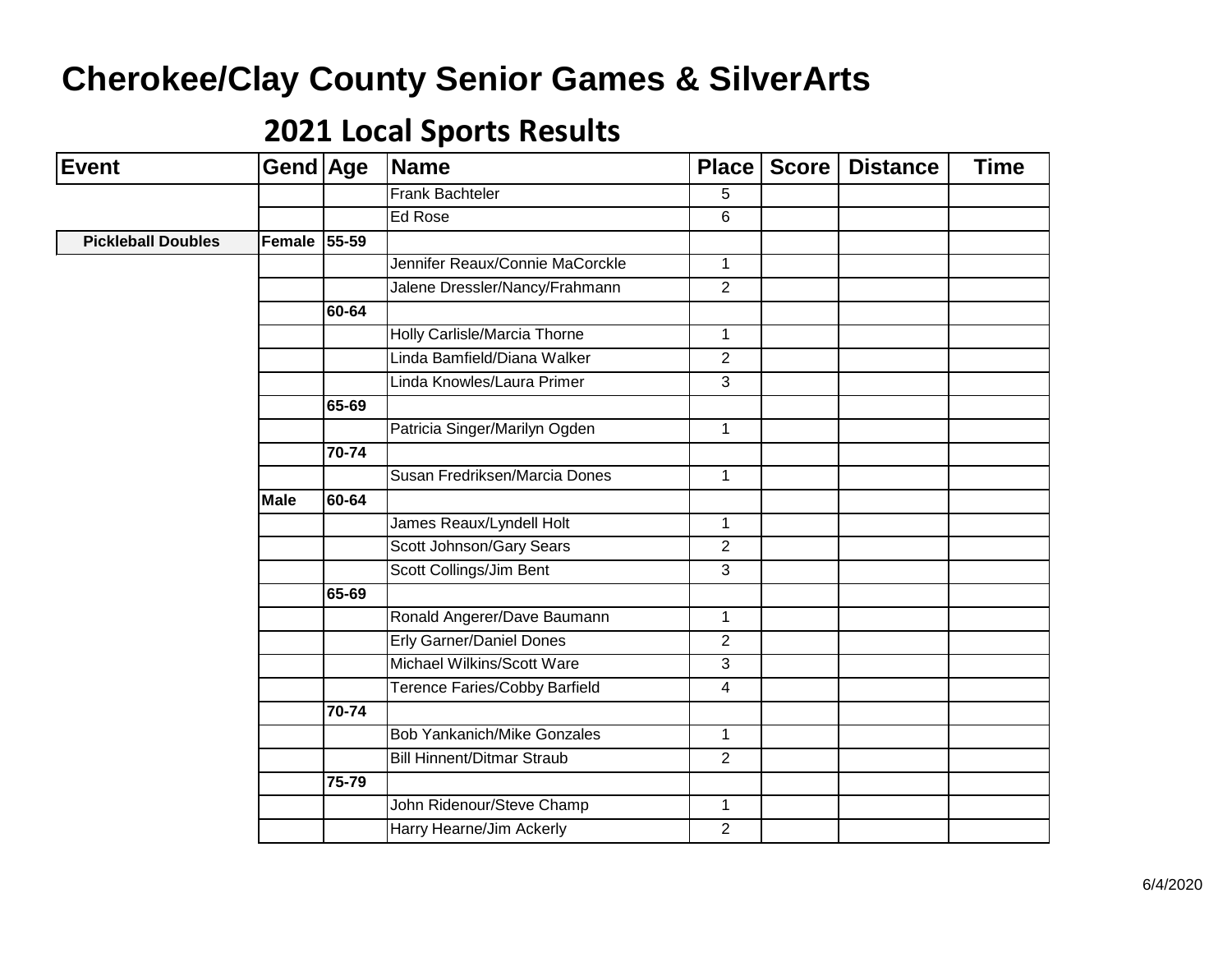| Event                     | Gend Age    |           | Name                               | <b>Place</b>   | <b>Score</b> | <b>Distance</b> | <b>Time</b> |
|---------------------------|-------------|-----------|------------------------------------|----------------|--------------|-----------------|-------------|
|                           |             |           | Frank Bachteler                    | 5              |              |                 |             |
|                           |             |           | Ed Rose                            | 6              |              |                 |             |
| <b>Pickleball Doubles</b> | Female      | $55 - 59$ |                                    |                |              |                 |             |
|                           |             |           | Jennifer Reaux/Connie MaCorckle    | $\mathbf{1}$   |              |                 |             |
|                           |             |           | Jalene Dressler/Nancy/Frahmann     | $\overline{2}$ |              |                 |             |
|                           |             | 60-64     |                                    |                |              |                 |             |
|                           |             |           | Holly Carlisle/Marcia Thorne       | $\mathbf{1}$   |              |                 |             |
|                           |             |           | Linda Bamfield/Diana Walker        | $\overline{2}$ |              |                 |             |
|                           |             |           | Linda Knowles/Laura Primer         | $\overline{3}$ |              |                 |             |
|                           |             | 65-69     |                                    |                |              |                 |             |
|                           |             |           | Patricia Singer/Marilyn Ogden      | $\mathbf{1}$   |              |                 |             |
|                           |             | 70-74     |                                    |                |              |                 |             |
|                           |             |           | Susan Fredriksen/Marcia Dones      | $\mathbf{1}$   |              |                 |             |
|                           | <b>Male</b> | 60-64     |                                    |                |              |                 |             |
|                           |             |           | James Reaux/Lyndell Holt           | $\mathbf{1}$   |              |                 |             |
|                           |             |           | Scott Johnson/Gary Sears           | $\overline{2}$ |              |                 |             |
|                           |             |           | Scott Collings/Jim Bent            | $\overline{3}$ |              |                 |             |
|                           |             | 65-69     |                                    |                |              |                 |             |
|                           |             |           | Ronald Angerer/Dave Baumann        | $\mathbf{1}$   |              |                 |             |
|                           |             |           | <b>Erly Garner/Daniel Dones</b>    | 2              |              |                 |             |
|                           |             |           | Michael Wilkins/Scott Ware         | $\overline{3}$ |              |                 |             |
|                           |             |           | Terence Faries/Cobby Barfield      | $\overline{4}$ |              |                 |             |
|                           |             | 70-74     |                                    |                |              |                 |             |
|                           |             |           | <b>Bob Yankanich/Mike Gonzales</b> | $\mathbf{1}$   |              |                 |             |
|                           |             |           | <b>Bill Hinnent/Ditmar Straub</b>  | 2              |              |                 |             |
|                           |             | 75-79     |                                    |                |              |                 |             |
|                           |             |           | John Ridenour/Steve Champ          | $\mathbf{1}$   |              |                 |             |
|                           |             |           | Harry Hearne/Jim Ackerly           | $\overline{2}$ |              |                 |             |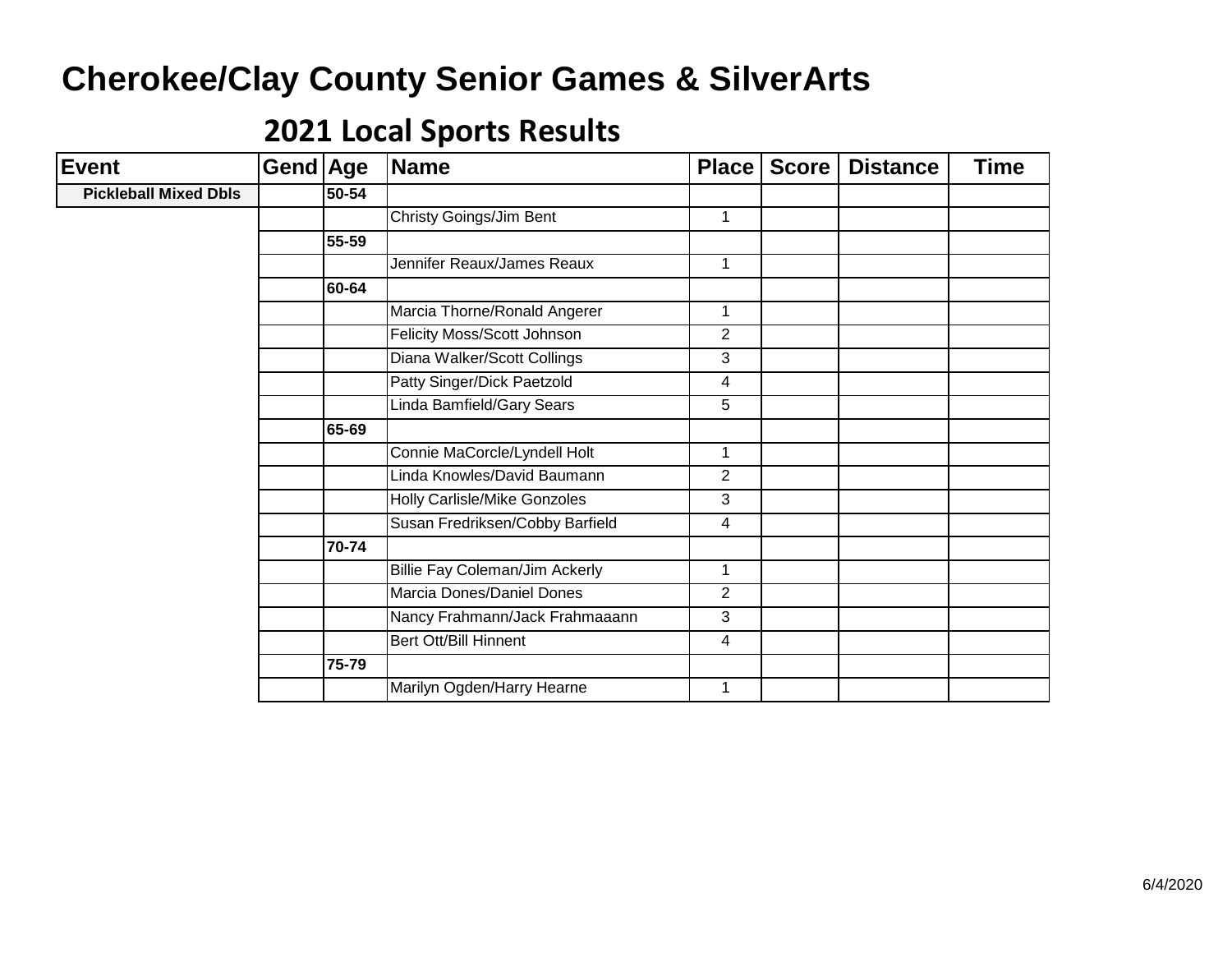| <b>Event</b>                 | Gend Age |       | Name                            | <b>Place</b>   | <b>Score</b> | <b>Distance</b> | <b>Time</b> |
|------------------------------|----------|-------|---------------------------------|----------------|--------------|-----------------|-------------|
| <b>Pickleball Mixed Dbls</b> |          | 50-54 |                                 |                |              |                 |             |
|                              |          |       | <b>Christy Goings/Jim Bent</b>  | $\mathbf{1}$   |              |                 |             |
|                              |          | 55-59 |                                 |                |              |                 |             |
|                              |          |       | Jennifer Reaux/James Reaux      | 1              |              |                 |             |
|                              |          | 60-64 |                                 |                |              |                 |             |
|                              |          |       | Marcia Thorne/Ronald Angerer    | 1              |              |                 |             |
|                              |          |       | Felicity Moss/Scott Johnson     | 2              |              |                 |             |
|                              |          |       | Diana Walker/Scott Collings     | 3              |              |                 |             |
|                              |          |       | Patty Singer/Dick Paetzold      | $\overline{4}$ |              |                 |             |
|                              |          |       | Linda Bamfield/Gary Sears       | 5              |              |                 |             |
|                              |          | 65-69 |                                 |                |              |                 |             |
|                              |          |       | Connie MaCorcle/Lyndell Holt    | $\mathbf 1$    |              |                 |             |
|                              |          |       | Linda Knowles/David Baumann     | $\overline{2}$ |              |                 |             |
|                              |          |       | Holly Carlisle/Mike Gonzoles    | 3              |              |                 |             |
|                              |          |       | Susan Fredriksen/Cobby Barfield | $\overline{4}$ |              |                 |             |
|                              |          | 70-74 |                                 |                |              |                 |             |
|                              |          |       | Billie Fay Coleman/Jim Ackerly  | $\mathbf{1}$   |              |                 |             |
|                              |          |       | Marcia Dones/Daniel Dones       | 2              |              |                 |             |
|                              |          |       | Nancy Frahmann/Jack Frahmaaann  | 3              |              |                 |             |
|                              |          |       | <b>Bert Ott/Bill Hinnent</b>    | 4              |              |                 |             |
|                              |          | 75-79 |                                 |                |              |                 |             |
|                              |          |       | Marilyn Ogden/Harry Hearne      | $\mathbf 1$    |              |                 |             |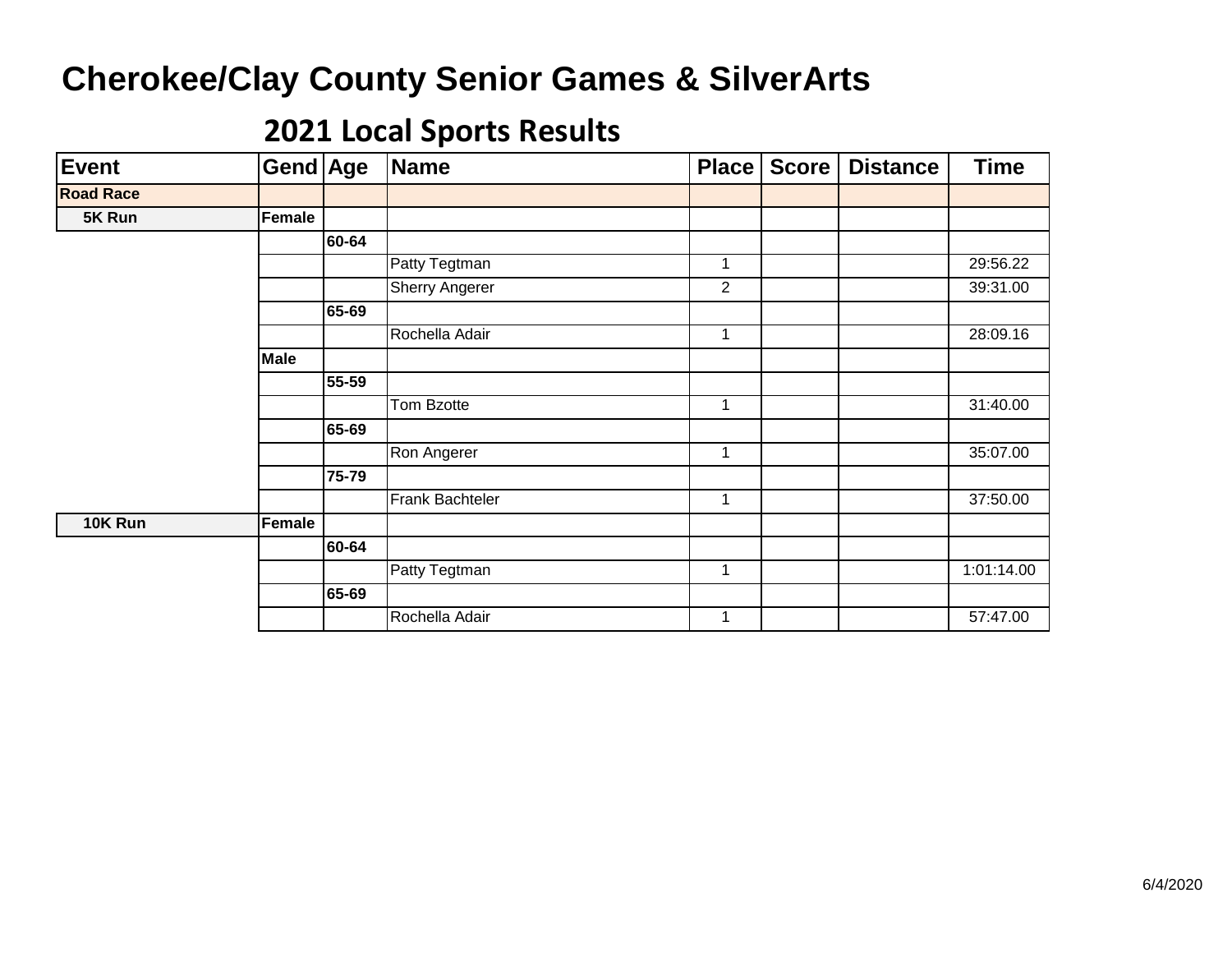| Event            | Gend Age    |       | Name            | Place          | Score | <b>Distance</b> | <b>Time</b> |
|------------------|-------------|-------|-----------------|----------------|-------|-----------------|-------------|
| <b>Road Race</b> |             |       |                 |                |       |                 |             |
| 5K Run           | Female      |       |                 |                |       |                 |             |
|                  |             | 60-64 |                 |                |       |                 |             |
|                  |             |       | Patty Tegtman   | 1              |       |                 | 29:56.22    |
|                  |             |       | Sherry Angerer  | $\overline{2}$ |       |                 | 39:31.00    |
|                  |             | 65-69 |                 |                |       |                 |             |
|                  |             |       | Rochella Adair  | 1              |       |                 | 28:09.16    |
|                  | <b>Male</b> |       |                 |                |       |                 |             |
|                  |             | 55-59 |                 |                |       |                 |             |
|                  |             |       | Tom Bzotte      | 1              |       |                 | 31:40.00    |
|                  |             | 65-69 |                 |                |       |                 |             |
|                  |             |       | Ron Angerer     | 1              |       |                 | 35:07.00    |
|                  |             | 75-79 |                 |                |       |                 |             |
|                  |             |       | Frank Bachteler | 1              |       |                 | 37:50.00    |
| 10K Run          | Female      |       |                 |                |       |                 |             |
|                  |             | 60-64 |                 |                |       |                 |             |
|                  |             |       | Patty Tegtman   | 1              |       |                 | 1:01:14.00  |
|                  |             | 65-69 |                 |                |       |                 |             |
|                  |             |       | Rochella Adair  | 1              |       |                 | 57:47.00    |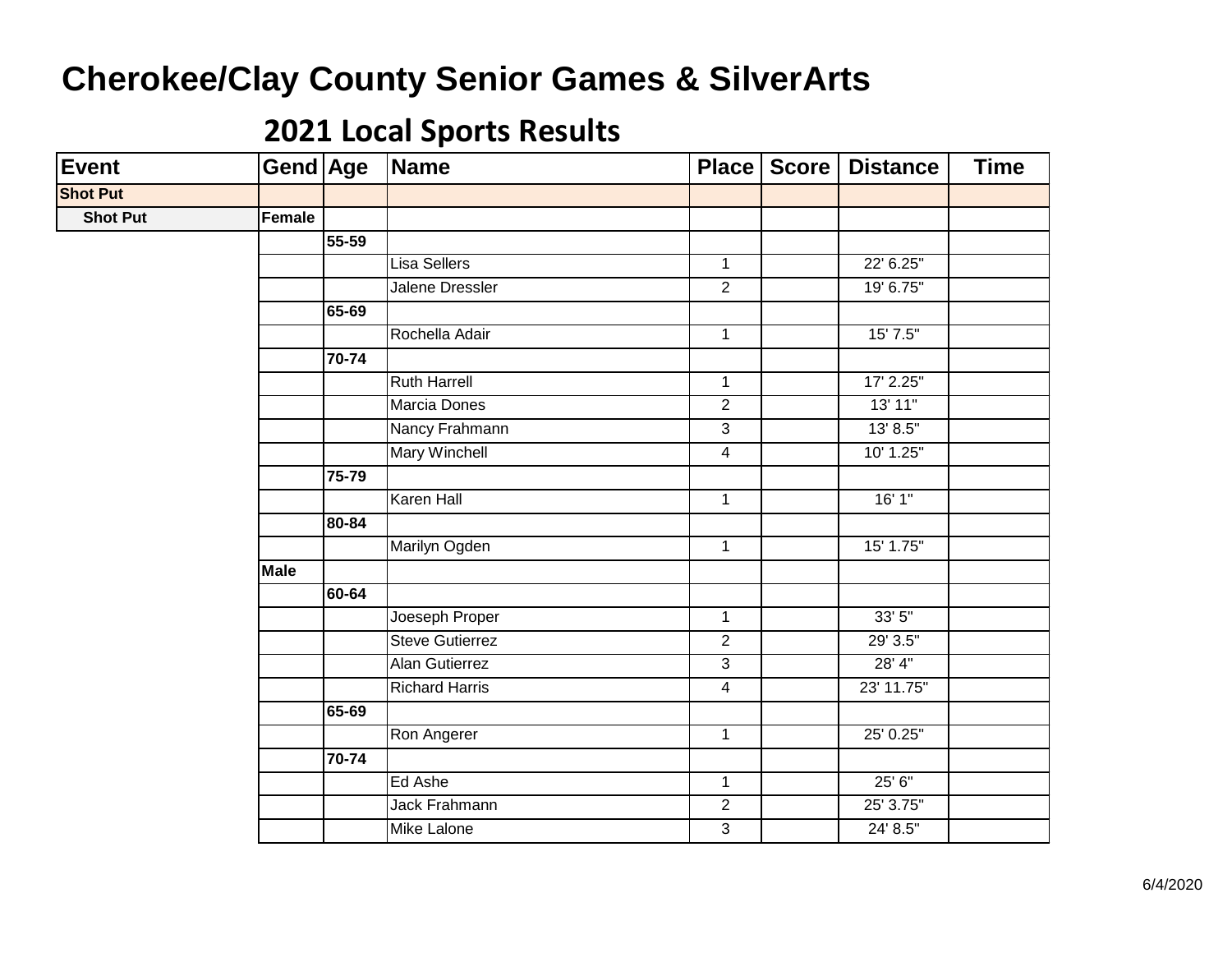| Event           | Gend Age      |           | Name                   |                | Place   Score | <b>Distance</b> | <b>Time</b> |
|-----------------|---------------|-----------|------------------------|----------------|---------------|-----------------|-------------|
| <b>Shot Put</b> |               |           |                        |                |               |                 |             |
| <b>Shot Put</b> | <b>Female</b> |           |                        |                |               |                 |             |
|                 |               | $55 - 59$ |                        |                |               |                 |             |
|                 |               |           | <b>Lisa Sellers</b>    | $\mathbf{1}$   |               | 22' 6.25"       |             |
|                 |               |           | <b>Jalene Dressler</b> | $\overline{2}$ |               | 19' 6.75"       |             |
|                 |               | 65-69     |                        |                |               |                 |             |
|                 |               |           | Rochella Adair         | $\mathbf{1}$   |               | $15'$ $7.5"$    |             |
|                 |               | 70-74     |                        |                |               |                 |             |
|                 |               |           | <b>Ruth Harrell</b>    | $\overline{1}$ |               | 17' 2.25"       |             |
|                 |               |           | Marcia Dones           | $\overline{2}$ |               | 13' 11"         |             |
|                 |               |           | Nancy Frahmann         | $\overline{3}$ |               | 13' 8.5"        |             |
|                 |               |           | <b>Mary Winchell</b>   | $\overline{4}$ |               | 10' 1.25"       |             |
|                 |               | 75-79     |                        |                |               |                 |             |
|                 |               |           | <b>Karen Hall</b>      | $\mathbf{1}$   |               | 16'1''          |             |
|                 |               | 80-84     |                        |                |               |                 |             |
|                 |               |           | Marilyn Ogden          | $\mathbf 1$    |               | 15' 1.75"       |             |
|                 | <b>Male</b>   |           |                        |                |               |                 |             |
|                 |               | 60-64     |                        |                |               |                 |             |
|                 |               |           | Joeseph Proper         | $\mathbf{1}$   |               | 33'5''          |             |
|                 |               |           | <b>Steve Gutierrez</b> | $\overline{2}$ |               | 29' 3.5"        |             |
|                 |               |           | <b>Alan Gutierrez</b>  | $\overline{3}$ |               | 28' 4"          |             |
|                 |               |           | <b>Richard Harris</b>  | $\overline{4}$ |               | 23' 11.75"      |             |
|                 |               | 65-69     |                        |                |               |                 |             |
|                 |               |           | Ron Angerer            | $\mathbf{1}$   |               | 25' 0.25"       |             |
|                 |               | 70-74     |                        |                |               |                 |             |
|                 |               |           | Ed Ashe                | $\mathbf{1}$   |               | 25' 6"          |             |
|                 |               |           | <b>Jack Frahmann</b>   | $\overline{2}$ |               | 25' 3.75"       |             |
|                 |               |           | Mike Lalone            | $\overline{3}$ |               | 24' 8.5"        |             |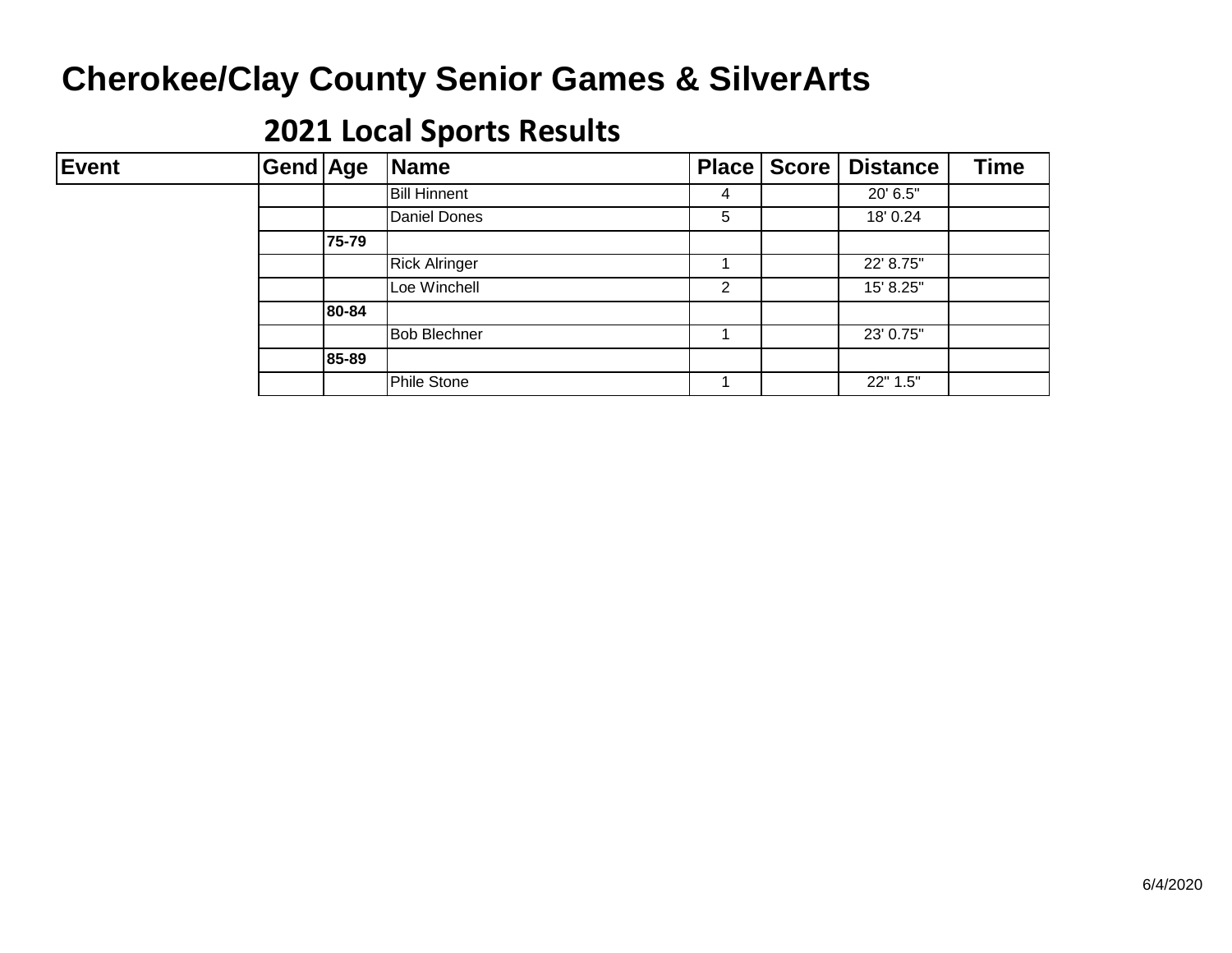| <b>Event</b> | Gend Age |       | Name                 |   | Place   Score   Distance | <b>Time</b> |
|--------------|----------|-------|----------------------|---|--------------------------|-------------|
|              |          |       | <b>Bill Hinnent</b>  | 4 | 20' 6.5"                 |             |
|              |          |       | <b>Daniel Dones</b>  | 5 | 18' 0.24                 |             |
|              |          | 75-79 |                      |   |                          |             |
|              |          |       | <b>Rick Alringer</b> |   | 22' 8.75"                |             |
|              |          |       | Loe Winchell         | 2 | 15' 8.25"                |             |
|              |          | 80-84 |                      |   |                          |             |
|              |          |       | <b>Bob Blechner</b>  |   | 23' 0.75"                |             |
|              |          | 85-89 |                      |   |                          |             |
|              |          |       | <b>Phile Stone</b>   |   | 22" 1.5"                 |             |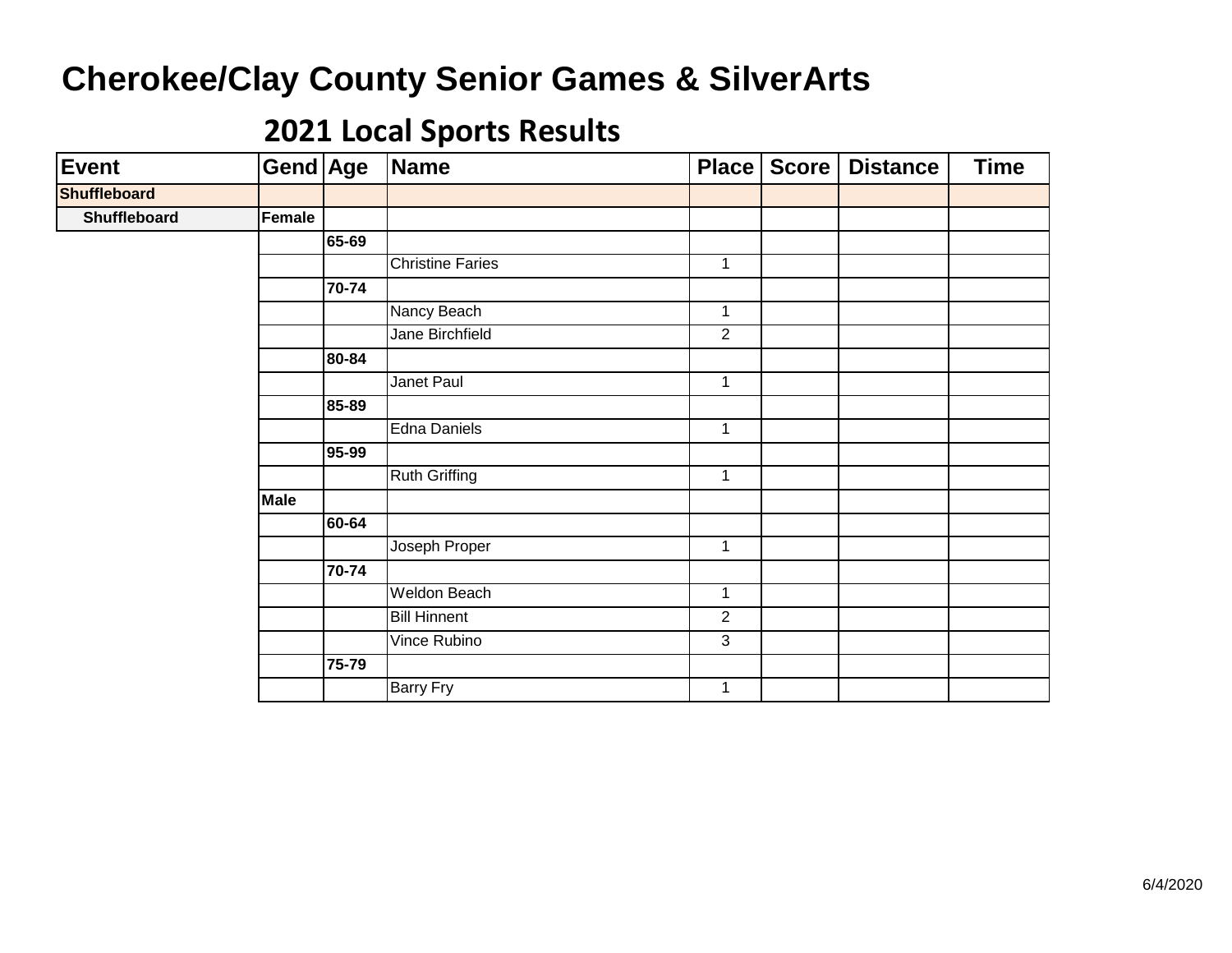| Event        | Gend Age    |       | Name                    | Place          | Score | <b>Distance</b> | <b>Time</b> |
|--------------|-------------|-------|-------------------------|----------------|-------|-----------------|-------------|
| Shuffleboard |             |       |                         |                |       |                 |             |
| Shuffleboard | Female      |       |                         |                |       |                 |             |
|              |             | 65-69 |                         |                |       |                 |             |
|              |             |       | <b>Christine Faries</b> | $\mathbf 1$    |       |                 |             |
|              |             | 70-74 |                         |                |       |                 |             |
|              |             |       | Nancy Beach             | $\mathbf 1$    |       |                 |             |
|              |             |       | Jane Birchfield         | $\overline{2}$ |       |                 |             |
|              |             | 80-84 |                         |                |       |                 |             |
|              |             |       | Janet Paul              | $\mathbf{1}$   |       |                 |             |
|              |             | 85-89 |                         |                |       |                 |             |
|              |             |       | Edna Daniels            | $\mathbf 1$    |       |                 |             |
|              |             | 95-99 |                         |                |       |                 |             |
|              |             |       | <b>Ruth Griffing</b>    | $\mathbf 1$    |       |                 |             |
|              | <b>Male</b> |       |                         |                |       |                 |             |
|              |             | 60-64 |                         |                |       |                 |             |
|              |             |       | Joseph Proper           | $\mathbf{1}$   |       |                 |             |
|              |             | 70-74 |                         |                |       |                 |             |
|              |             |       | <b>Weldon Beach</b>     | $\mathbf 1$    |       |                 |             |
|              |             |       | <b>Bill Hinnent</b>     | $\overline{2}$ |       |                 |             |
|              |             |       | Vince Rubino            | 3              |       |                 |             |
|              |             | 75-79 |                         |                |       |                 |             |
|              |             |       | <b>Barry Fry</b>        | $\mathbf{1}$   |       |                 |             |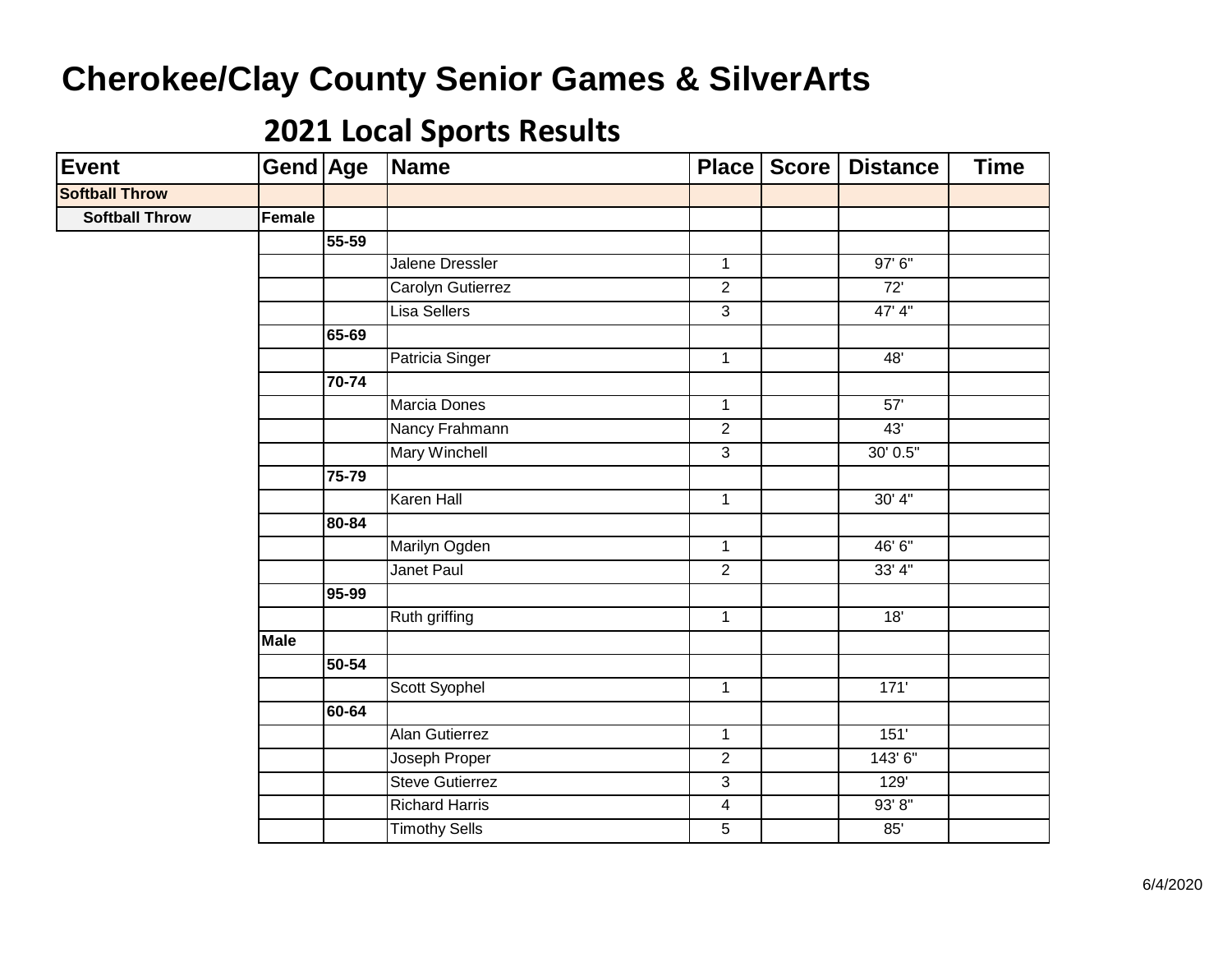| Event                 | Gend Age    |           | Name                   | Place          | Score | <b>Distance</b> | <b>Time</b> |
|-----------------------|-------------|-----------|------------------------|----------------|-------|-----------------|-------------|
| <b>Softball Throw</b> |             |           |                        |                |       |                 |             |
| <b>Softball Throw</b> | Female      |           |                        |                |       |                 |             |
|                       |             | $55 - 59$ |                        |                |       |                 |             |
|                       |             |           | Jalene Dressler        | $\mathbf{1}$   |       | 97' 6"          |             |
|                       |             |           | Carolyn Gutierrez      | $\overline{2}$ |       | 72'             |             |
|                       |             |           | <b>Lisa Sellers</b>    | $\overline{3}$ |       | 47' 4"          |             |
|                       |             | 65-69     |                        |                |       |                 |             |
|                       |             |           | Patricia Singer        | $\mathbf{1}$   |       | 48'             |             |
|                       |             | 70-74     |                        |                |       |                 |             |
|                       |             |           | Marcia Dones           | $\mathbf{1}$   |       | 57'             |             |
|                       |             |           | Nancy Frahmann         | $\overline{2}$ |       | 43'             |             |
|                       |             |           | Mary Winchell          | $\overline{3}$ |       | 30' 0.5"        |             |
|                       |             | 75-79     |                        |                |       |                 |             |
|                       |             |           | <b>Karen Hall</b>      | $\mathbf{1}$   |       | 30' 4''         |             |
|                       |             | 80-84     |                        |                |       |                 |             |
|                       |             |           | Marilyn Ogden          | $\overline{1}$ |       | 46' 6"          |             |
|                       |             |           | <b>Janet Paul</b>      | $\overline{2}$ |       | 33'4''          |             |
|                       |             | 95-99     |                        |                |       |                 |             |
|                       |             |           | Ruth griffing          | $\mathbf{1}$   |       | 18'             |             |
|                       | <b>Male</b> |           |                        |                |       |                 |             |
|                       |             | 50-54     |                        |                |       |                 |             |
|                       |             |           | Scott Syophel          | $\overline{1}$ |       | 171'            |             |
|                       |             | 60-64     |                        |                |       |                 |             |
|                       |             |           | <b>Alan Gutierrez</b>  | $\mathbf{1}$   |       | 151'            |             |
|                       |             |           | Joseph Proper          | $\overline{2}$ |       | 143' 6"         |             |
|                       |             |           | <b>Steve Gutierrez</b> | $\overline{3}$ |       | 129'            |             |
|                       |             |           | <b>Richard Harris</b>  | $\overline{4}$ |       | 93' 8''         |             |
|                       |             |           | <b>Timothy Sells</b>   | $\overline{5}$ |       | 85'             |             |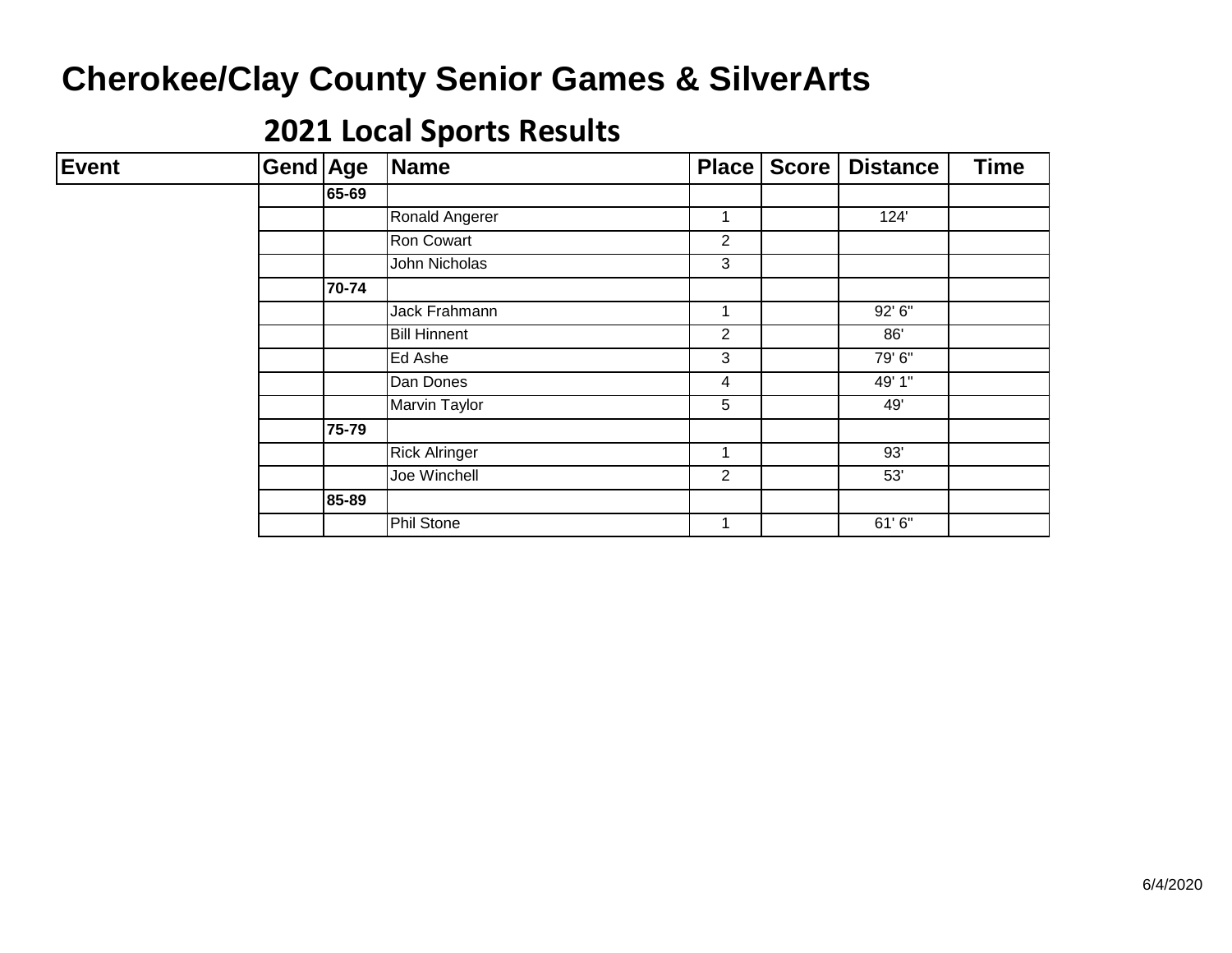| <b>Event</b> | <b>Gend Age</b> |       | Name                 | <b>Place</b>   | <b>Score</b> | <b>Distance</b> | <b>Time</b> |
|--------------|-----------------|-------|----------------------|----------------|--------------|-----------------|-------------|
|              |                 | 65-69 |                      |                |              |                 |             |
|              |                 |       | Ronald Angerer       | 1              |              | 124'            |             |
|              |                 |       | Ron Cowart           | $\overline{2}$ |              |                 |             |
|              |                 |       | John Nicholas        | 3              |              |                 |             |
|              |                 | 70-74 |                      |                |              |                 |             |
|              |                 |       | Jack Frahmann        | 1              |              | 92' 6"          |             |
|              |                 |       | <b>Bill Hinnent</b>  | $\overline{c}$ |              | 86'             |             |
|              |                 |       | Ed Ashe              | 3              |              | 79' 6"          |             |
|              |                 |       | Dan Dones            | 4              |              | 49' 1"          |             |
|              |                 |       | Marvin Taylor        | 5              |              | 49'             |             |
|              |                 | 75-79 |                      |                |              |                 |             |
|              |                 |       | <b>Rick Alringer</b> | 1              |              | 93'             |             |
|              |                 |       | Joe Winchell         | $\overline{2}$ |              | 53'             |             |
|              |                 | 85-89 |                      |                |              |                 |             |
|              |                 |       | <b>Phil Stone</b>    | 1              |              | 61'6"           |             |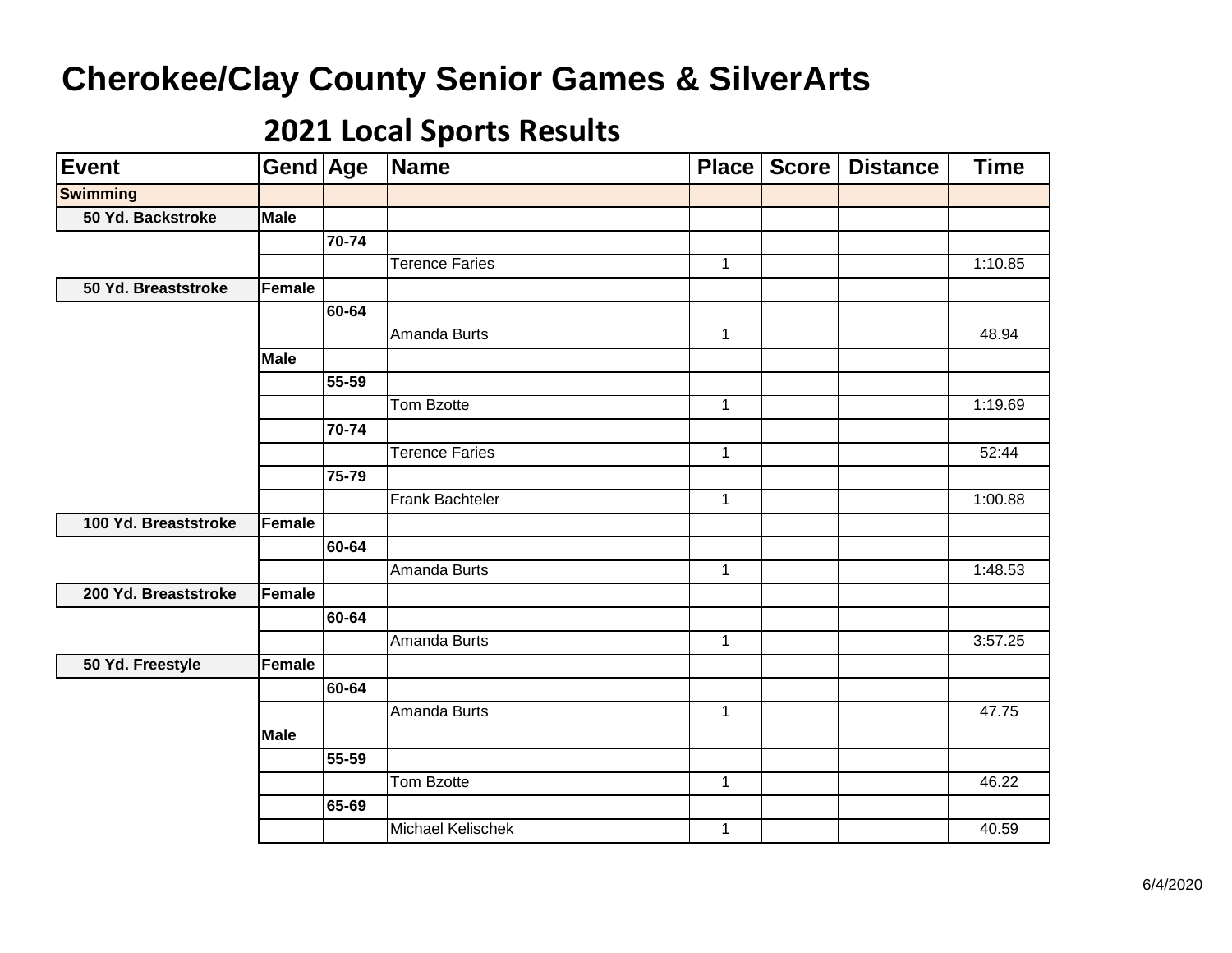| <b>Event</b>         | Gend Age    |       | Name                  | Place          | <b>Score</b> | <b>Distance</b> | <b>Time</b> |
|----------------------|-------------|-------|-----------------------|----------------|--------------|-----------------|-------------|
| <b>Swimming</b>      |             |       |                       |                |              |                 |             |
| 50 Yd. Backstroke    | Male        |       |                       |                |              |                 |             |
|                      |             | 70-74 |                       |                |              |                 |             |
|                      |             |       | <b>Terence Faries</b> | $\mathbf{1}$   |              |                 | 1:10.85     |
| 50 Yd. Breaststroke  | Female      |       |                       |                |              |                 |             |
|                      |             | 60-64 |                       |                |              |                 |             |
|                      |             |       | Amanda Burts          | $\mathbf{1}$   |              |                 | 48.94       |
|                      | <b>Male</b> |       |                       |                |              |                 |             |
|                      |             | 55-59 |                       |                |              |                 |             |
|                      |             |       | Tom Bzotte            | $\mathbf{1}$   |              |                 | 1:19.69     |
|                      |             | 70-74 |                       |                |              |                 |             |
|                      |             |       | <b>Terence Faries</b> | $\mathbf{1}$   |              |                 | 52:44       |
|                      |             | 75-79 |                       |                |              |                 |             |
|                      |             |       | Frank Bachteler       | $\overline{1}$ |              |                 | 1:00.88     |
| 100 Yd. Breaststroke | Female      |       |                       |                |              |                 |             |
|                      |             | 60-64 |                       |                |              |                 |             |
|                      |             |       | <b>Amanda Burts</b>   | $\mathbf{1}$   |              |                 | 1:48.53     |
| 200 Yd. Breaststroke | Female      |       |                       |                |              |                 |             |
|                      |             | 60-64 |                       |                |              |                 |             |
|                      |             |       | <b>Amanda Burts</b>   | $\mathbf{1}$   |              |                 | 3:57.25     |
| 50 Yd. Freestyle     | Female      |       |                       |                |              |                 |             |
|                      |             | 60-64 |                       |                |              |                 |             |
|                      |             |       | Amanda Burts          | $\mathbf{1}$   |              |                 | 47.75       |
|                      | <b>Male</b> |       |                       |                |              |                 |             |
|                      |             | 55-59 |                       |                |              |                 |             |
|                      |             |       | Tom Bzotte            | $\mathbf{1}$   |              |                 | 46.22       |
|                      |             | 65-69 |                       |                |              |                 |             |
|                      |             |       | Michael Kelischek     | $\mathbf{1}$   |              |                 | 40.59       |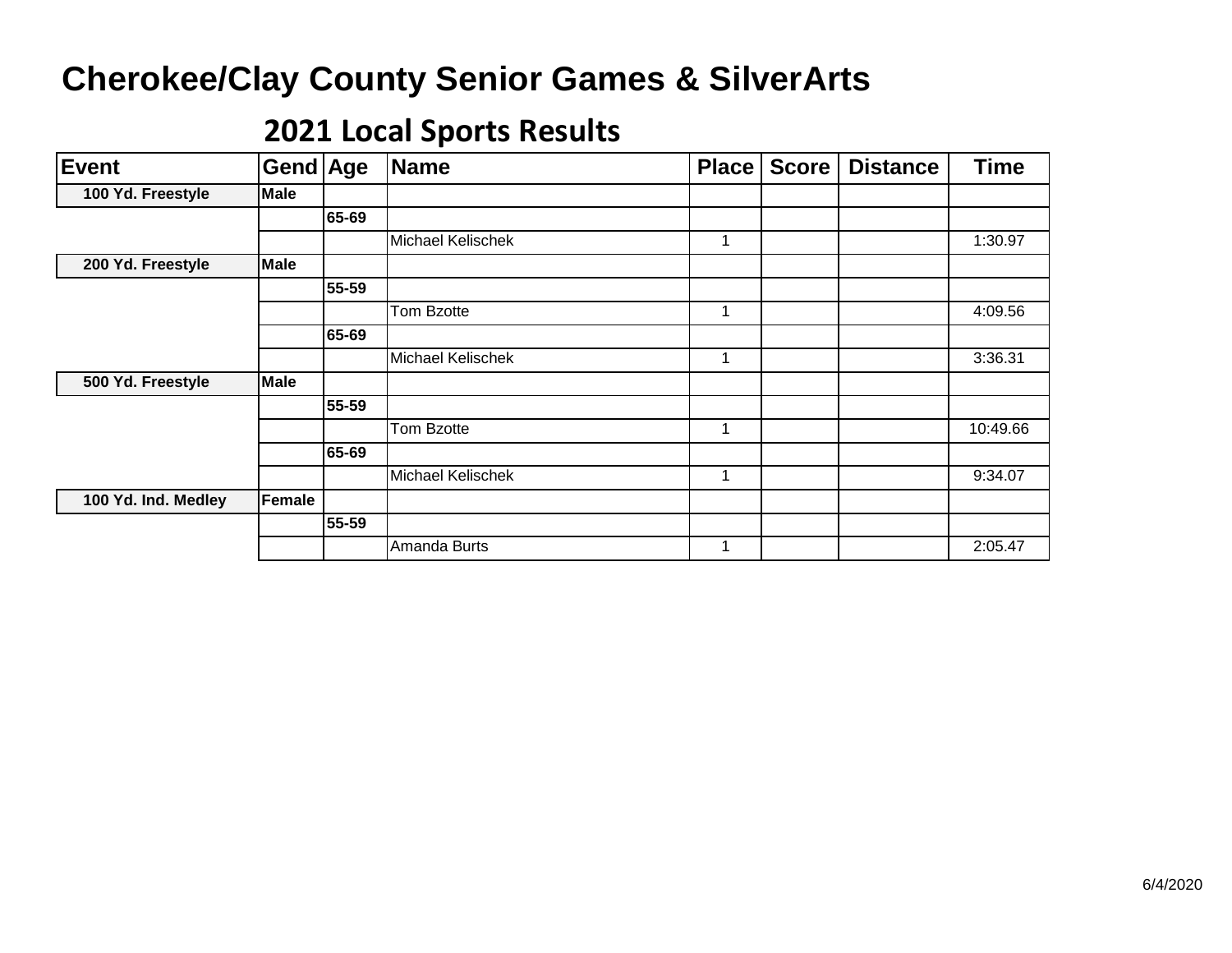| <b>Event</b>        | Gend Age    |       | <b>Name</b>              | <b>Place</b> | <b>Score</b> | <b>Distance</b> | <b>Time</b> |
|---------------------|-------------|-------|--------------------------|--------------|--------------|-----------------|-------------|
| 100 Yd. Freestyle   | <b>Male</b> |       |                          |              |              |                 |             |
|                     |             | 65-69 |                          |              |              |                 |             |
|                     |             |       | Michael Kelischek        |              |              |                 | 1:30.97     |
| 200 Yd. Freestyle   | <b>Male</b> |       |                          |              |              |                 |             |
|                     |             | 55-59 |                          |              |              |                 |             |
|                     |             |       | Tom Bzotte               | 1            |              |                 | 4:09.56     |
|                     |             | 65-69 |                          |              |              |                 |             |
|                     |             |       | <b>Michael Kelischek</b> | 1            |              |                 | 3:36.31     |
| 500 Yd. Freestyle   | <b>Male</b> |       |                          |              |              |                 |             |
|                     |             | 55-59 |                          |              |              |                 |             |
|                     |             |       | Tom Bzotte               | 1            |              |                 | 10:49.66    |
|                     |             | 65-69 |                          |              |              |                 |             |
|                     |             |       | <b>Michael Kelischek</b> | 1            |              |                 | 9:34.07     |
| 100 Yd. Ind. Medley | Female      |       |                          |              |              |                 |             |
|                     |             | 55-59 |                          |              |              |                 |             |
|                     |             |       | Amanda Burts             |              |              |                 | 2:05.47     |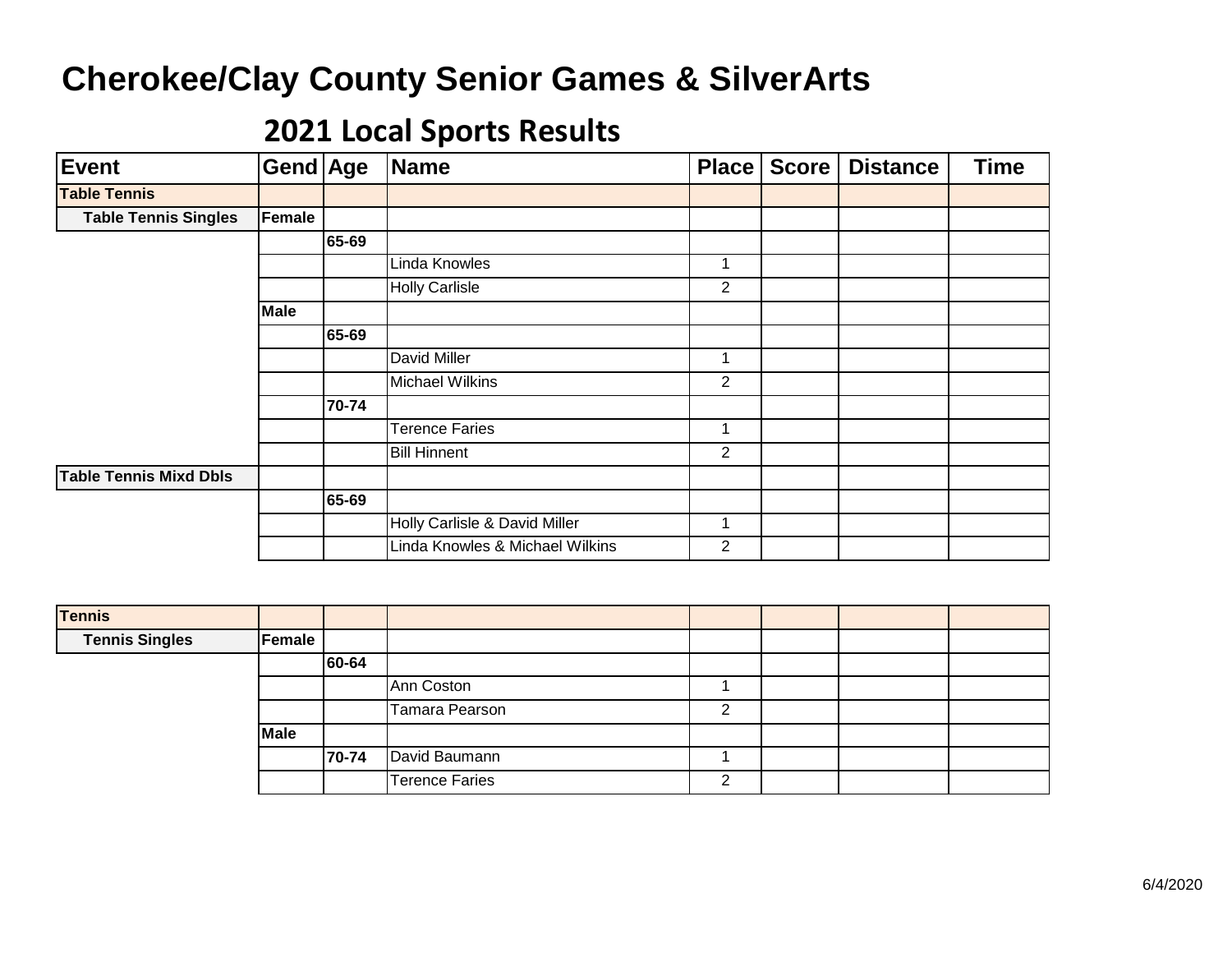| <b>Event</b>                | Gend Age    |       | Name                            | <b>Place</b>   | <b>Score</b> | <b>Distance</b> | <b>Time</b> |
|-----------------------------|-------------|-------|---------------------------------|----------------|--------------|-----------------|-------------|
| <b>Table Tennis</b>         |             |       |                                 |                |              |                 |             |
| <b>Table Tennis Singles</b> | Female      |       |                                 |                |              |                 |             |
|                             |             | 65-69 |                                 |                |              |                 |             |
|                             |             |       | Linda Knowles                   | 1              |              |                 |             |
|                             |             |       | <b>Holly Carlisle</b>           | $\overline{c}$ |              |                 |             |
|                             | <b>Male</b> |       |                                 |                |              |                 |             |
|                             |             | 65-69 |                                 |                |              |                 |             |
|                             |             |       | David Miller                    | 1              |              |                 |             |
|                             |             |       | <b>Michael Wilkins</b>          | 2              |              |                 |             |
|                             |             | 70-74 |                                 |                |              |                 |             |
|                             |             |       | <b>Terence Faries</b>           | 1              |              |                 |             |
|                             |             |       | <b>Bill Hinnent</b>             | $\overline{2}$ |              |                 |             |
| Table Tennis Mixd Dbls      |             |       |                                 |                |              |                 |             |
|                             |             | 65-69 |                                 |                |              |                 |             |
|                             |             |       | Holly Carlisle & David Miller   | 1              |              |                 |             |
|                             |             |       | Linda Knowles & Michael Wilkins | 2              |              |                 |             |

| <b>Tennis</b>         |               |       |                |   |  |  |
|-----------------------|---------------|-------|----------------|---|--|--|
| <b>Tennis Singles</b> | <b>Female</b> |       |                |   |  |  |
|                       |               | 60-64 |                |   |  |  |
|                       |               |       | Ann Coston     |   |  |  |
|                       |               |       | Tamara Pearson | ົ |  |  |
|                       | Male          |       |                |   |  |  |
|                       |               | 70-74 | David Baumann  |   |  |  |
|                       |               |       | Terence Faries | ົ |  |  |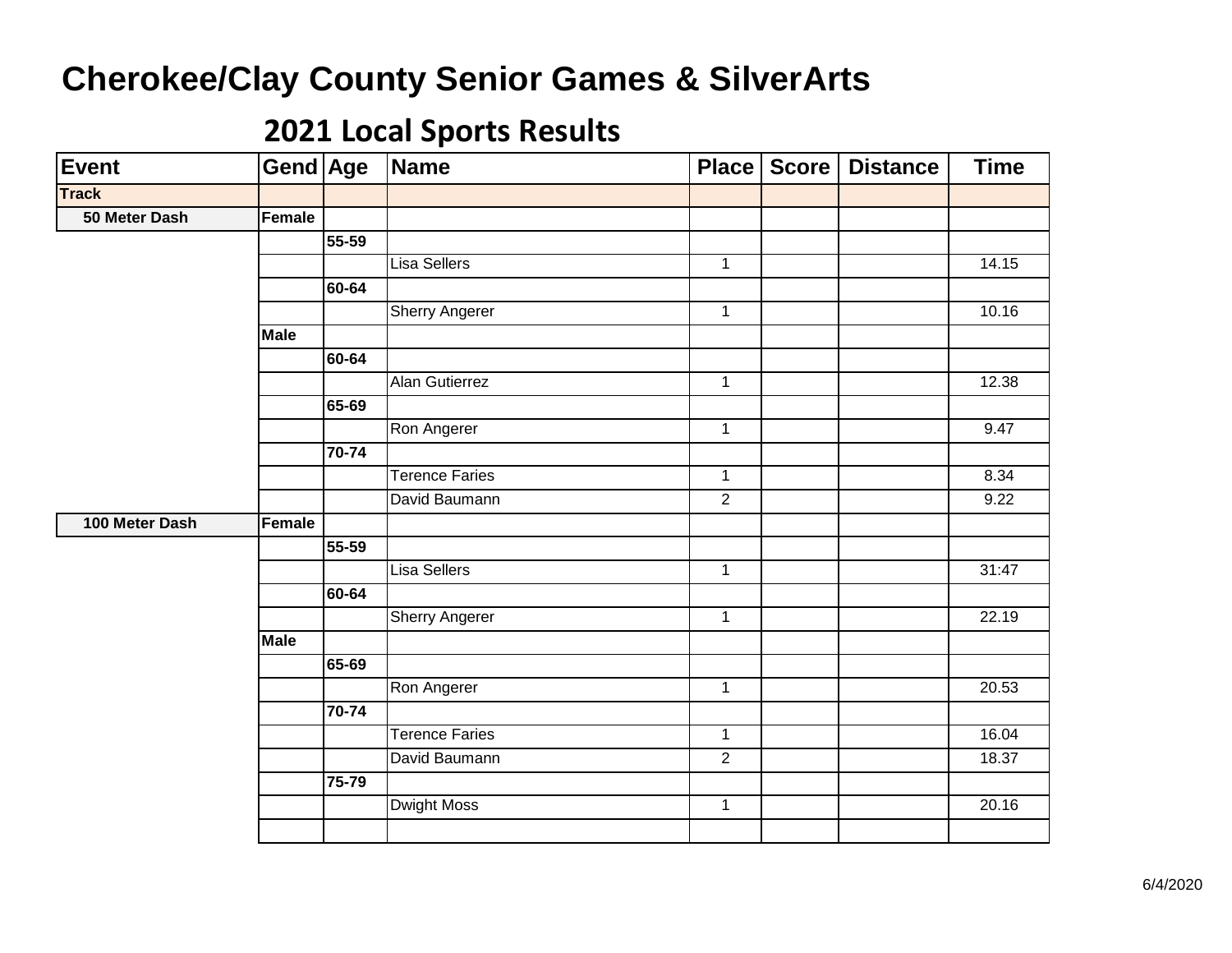| <b>Event</b>   | Gend Age    |           | Name                  | Place          | Score | <b>Distance</b> | <b>Time</b> |
|----------------|-------------|-----------|-----------------------|----------------|-------|-----------------|-------------|
| <b>Track</b>   |             |           |                       |                |       |                 |             |
| 50 Meter Dash  | Female      |           |                       |                |       |                 |             |
|                |             | 55-59     |                       |                |       |                 |             |
|                |             |           | Lisa Sellers          | $\mathbf{1}$   |       |                 | 14.15       |
|                |             | 60-64     |                       |                |       |                 |             |
|                |             |           | <b>Sherry Angerer</b> | $\mathbf{1}$   |       |                 | 10.16       |
|                | <b>Male</b> |           |                       |                |       |                 |             |
|                |             | 60-64     |                       |                |       |                 |             |
|                |             |           | <b>Alan Gutierrez</b> | $\overline{1}$ |       |                 | 12.38       |
|                |             | 65-69     |                       |                |       |                 |             |
|                |             |           | Ron Angerer           | $\overline{1}$ |       |                 | 9.47        |
|                |             | 70-74     |                       |                |       |                 |             |
|                |             |           | <b>Terence Faries</b> | $\mathbf{1}$   |       |                 | 8.34        |
|                |             |           | David Baumann         | $\overline{2}$ |       |                 | 9.22        |
| 100 Meter Dash | Female      |           |                       |                |       |                 |             |
|                |             | 55-59     |                       |                |       |                 |             |
|                |             |           | <b>Lisa Sellers</b>   | $\overline{1}$ |       |                 | 31:47       |
|                |             | 60-64     |                       |                |       |                 |             |
|                |             |           | <b>Sherry Angerer</b> | $\mathbf{1}$   |       |                 | 22.19       |
|                | <b>Male</b> |           |                       |                |       |                 |             |
|                |             | $65 - 69$ |                       |                |       |                 |             |
|                |             |           | Ron Angerer           | $\mathbf{1}$   |       |                 | 20.53       |
|                |             | 70-74     |                       |                |       |                 |             |
|                |             |           | <b>Terence Faries</b> | $\mathbf{1}$   |       |                 | 16.04       |
|                |             |           | David Baumann         | $\overline{2}$ |       |                 | 18.37       |
|                |             | 75-79     |                       |                |       |                 |             |
|                |             |           | <b>Dwight Moss</b>    | $\mathbf{1}$   |       |                 | 20.16       |
|                |             |           |                       |                |       |                 |             |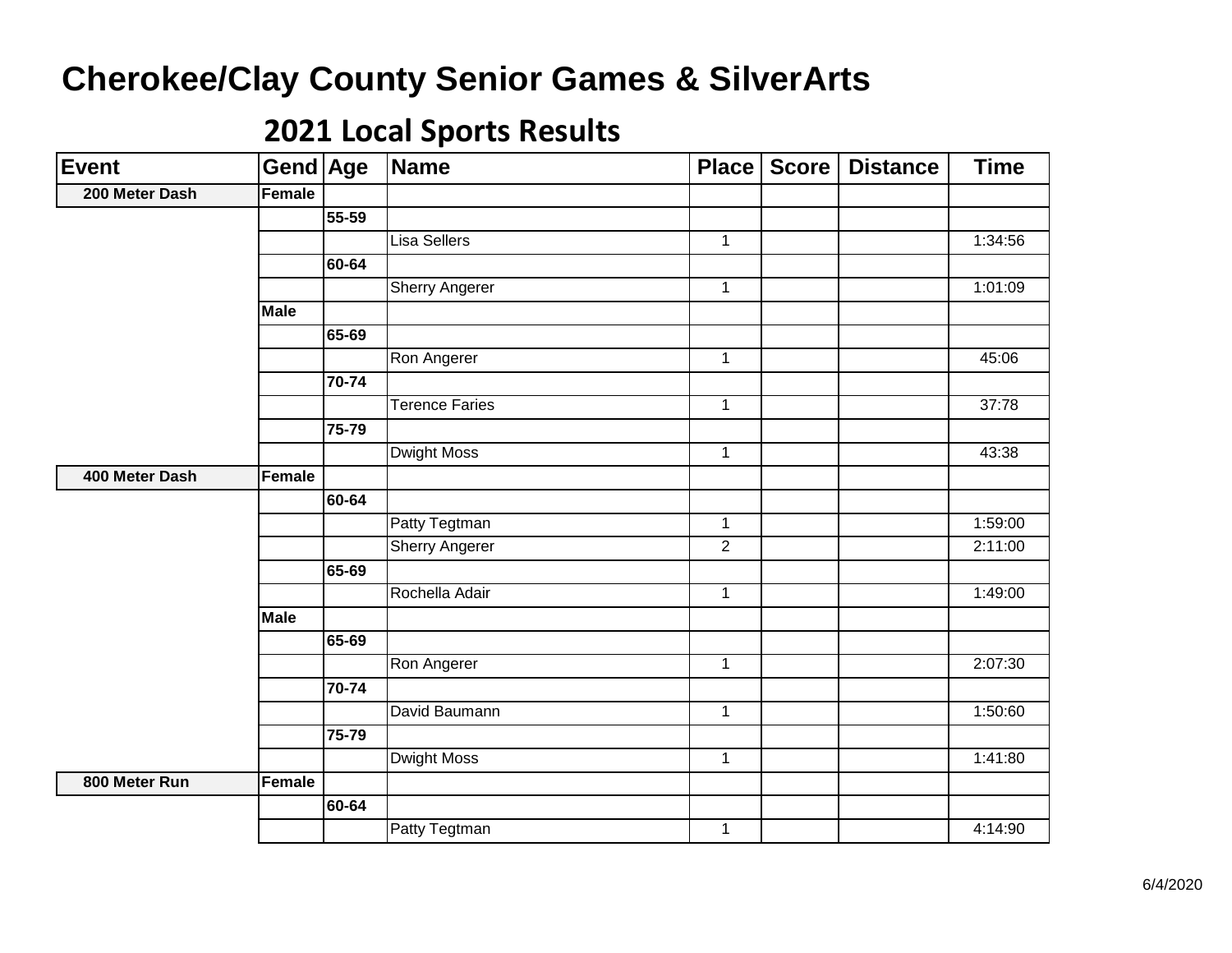| <b>Event</b>   | Gend Age      |           | <b>Name</b>           | Place        | <b>Score</b> | <b>Distance</b> | <b>Time</b> |
|----------------|---------------|-----------|-----------------------|--------------|--------------|-----------------|-------------|
| 200 Meter Dash | <b>Female</b> |           |                       |              |              |                 |             |
|                |               | 55-59     |                       |              |              |                 |             |
|                |               |           | <b>Lisa Sellers</b>   | $\mathbf{1}$ |              |                 | 1:34:56     |
|                |               | 60-64     |                       |              |              |                 |             |
|                |               |           | <b>Sherry Angerer</b> | $\mathbf{1}$ |              |                 | 1:01:09     |
|                | <b>Male</b>   |           |                       |              |              |                 |             |
|                |               | 65-69     |                       |              |              |                 |             |
|                |               |           | Ron Angerer           | $\mathbf{1}$ |              |                 | 45:06       |
|                |               | 70-74     |                       |              |              |                 |             |
|                |               |           | <b>Terence Faries</b> | $\mathbf{1}$ |              |                 | 37:78       |
|                |               | 75-79     |                       |              |              |                 |             |
|                |               |           | <b>Dwight Moss</b>    | $\mathbf{1}$ |              |                 | 43:38       |
| 400 Meter Dash | <b>Female</b> |           |                       |              |              |                 |             |
|                |               | 60-64     |                       |              |              |                 |             |
|                |               |           | Patty Tegtman         | $\mathbf{1}$ |              |                 | 1:59:00     |
|                |               |           | <b>Sherry Angerer</b> | 2            |              |                 | 2:11:00     |
|                |               | 65-69     |                       |              |              |                 |             |
|                |               |           | Rochella Adair        | $\mathbf{1}$ |              |                 | 1:49:00     |
|                | <b>Male</b>   |           |                       |              |              |                 |             |
|                |               | $65 - 69$ |                       |              |              |                 |             |
|                |               |           | Ron Angerer           | $\mathbf{1}$ |              |                 | 2:07:30     |
|                |               | 70-74     |                       |              |              |                 |             |
|                |               |           | David Baumann         | $\mathbf{1}$ |              |                 | 1:50:60     |
|                |               | 75-79     |                       |              |              |                 |             |
|                |               |           | <b>Dwight Moss</b>    | $\mathbf{1}$ |              |                 | 1:41:80     |
| 800 Meter Run  | Female        |           |                       |              |              |                 |             |
|                |               | 60-64     |                       |              |              |                 |             |
|                |               |           | Patty Tegtman         | $\mathbf{1}$ |              |                 | 4:14:90     |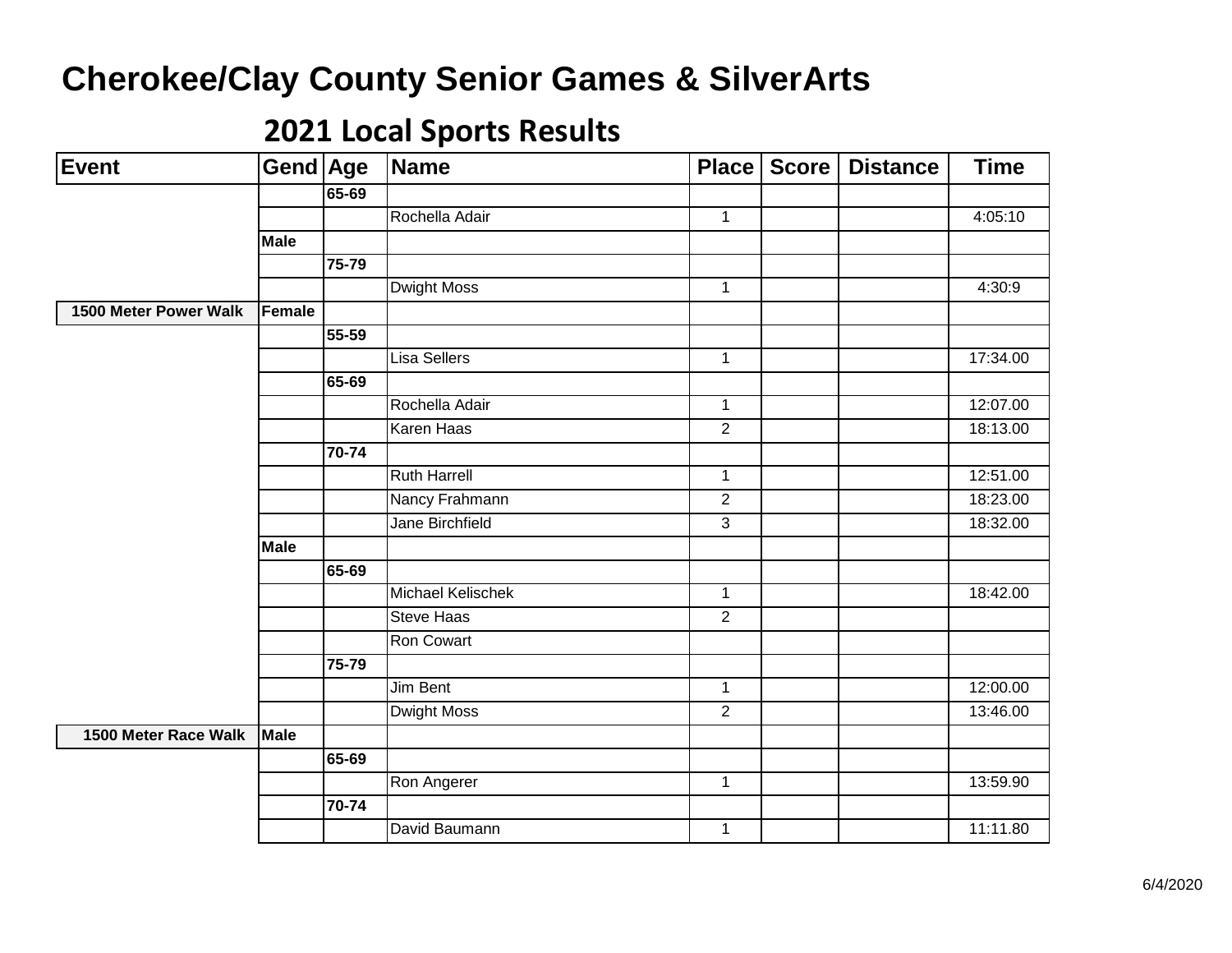| <b>Event</b>          | Gend Age    |       | <b>Name</b>            | Place          | <b>Score</b> | <b>Distance</b> | <b>Time</b> |
|-----------------------|-------------|-------|------------------------|----------------|--------------|-----------------|-------------|
|                       |             | 65-69 |                        |                |              |                 |             |
|                       |             |       | Rochella Adair         | $\mathbf{1}$   |              |                 | 4:05:10     |
|                       | <b>Male</b> |       |                        |                |              |                 |             |
|                       |             | 75-79 |                        |                |              |                 |             |
|                       |             |       | <b>Dwight Moss</b>     | $\mathbf{1}$   |              |                 | 4:30:9      |
| 1500 Meter Power Walk | Female      |       |                        |                |              |                 |             |
|                       |             | 55-59 |                        |                |              |                 |             |
|                       |             |       | <b>Lisa Sellers</b>    | $\mathbf{1}$   |              |                 | 17:34.00    |
|                       |             | 65-69 |                        |                |              |                 |             |
|                       |             |       | Rochella Adair         | $\mathbf{1}$   |              |                 | 12:07.00    |
|                       |             |       | <b>Karen Haas</b>      | $\overline{2}$ |              |                 | 18:13.00    |
|                       |             | 70-74 |                        |                |              |                 |             |
|                       |             |       | <b>Ruth Harrell</b>    | $\mathbf{1}$   |              |                 | 12:51.00    |
|                       |             |       | Nancy Frahmann         | $\overline{2}$ |              |                 | 18:23.00    |
|                       |             |       | <b>Jane Birchfield</b> | $\overline{3}$ |              |                 | 18:32.00    |
|                       | <b>Male</b> |       |                        |                |              |                 |             |
|                       |             | 65-69 |                        |                |              |                 |             |
|                       |             |       | Michael Kelischek      | $\mathbf{1}$   |              |                 | 18:42.00    |
|                       |             |       | <b>Steve Haas</b>      | $\overline{2}$ |              |                 |             |
|                       |             |       | Ron Cowart             |                |              |                 |             |
|                       |             | 75-79 |                        |                |              |                 |             |
|                       |             |       | <b>Jim Bent</b>        | $\mathbf{1}$   |              |                 | 12:00.00    |
|                       |             |       | <b>Dwight Moss</b>     | $\overline{2}$ |              |                 | 13:46.00    |
| 1500 Meter Race Walk  | Male        |       |                        |                |              |                 |             |
|                       |             | 65-69 |                        |                |              |                 |             |
|                       |             |       | Ron Angerer            | $\mathbf{1}$   |              |                 | 13:59.90    |
|                       |             | 70-74 |                        |                |              |                 |             |
|                       |             |       | David Baumann          | $\mathbf 1$    |              |                 | 11:11.80    |